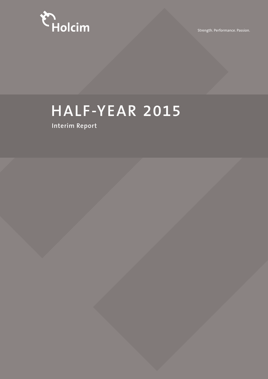

Strength. Performance. Passion.

## **HALF-YEAR 2015**

**Interim Report**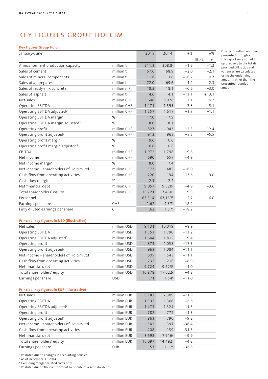## KEY FIGURES GROUP HOLCIM

#### **Key figures Group Holcim**

| January–June                                  |              | 2015   | 2014 <sup>1</sup>   | ±%      | $\pm\%$       |
|-----------------------------------------------|--------------|--------|---------------------|---------|---------------|
|                                               |              |        |                     |         | like-for-like |
| Annual cement production capacity             | million t    | 211.3  | 208.82              | $+1.2$  | $+1.2$        |
| Sales of cement                               | million t    | 67.6   | 68.9                | $-2.0$  | $-2.1$        |
| Sales of mineral components                   | million t    | 1.8    | 1.6                 | $+18.2$ | $-10.7$       |
| Sales of aggregates                           | million t    | 72.0   | 69.6                | $+3.4$  | $-2.3$        |
| Sales of ready-mix concrete                   | million $m3$ | 18.2   | 18.1                | $+0.6$  | $-3.0$        |
| Sales of asphalt                              | million t    | 4.6    | 4.1                 | $+13.1$ | $+13.1$       |
| Net sales                                     | million CHF  | 8,646  | 8,926               | $-3.1$  | $-0.2$        |
| Operating EBITDA                              | million CHF  | 1,471  | 1,595               | $-7.8$  | $-5.1$        |
| Operating EBITDA adjusted <sup>3</sup>        | million CHF  | 1,557  | 1,617               | $-3.7$  | $-1.1$        |
| Operating EBITDA margin                       | $\%$         | 17.0   | 17.9                |         |               |
| Operating EBITDA margin adjusted <sup>3</sup> | %            | 18.0   | 18.1                |         |               |
| Operating profit                              | million CHF  | 827    | 943                 | $-12.3$ | $-12.4$       |
| Operating profit adjusted <sup>3</sup>        | million CHF  | 912    | 965                 | $-5.5$  | $-5.5$        |
| Operating profit margin                       | $\%$         | 9.6    | 10.6                |         |               |
| Operating profit margin adjusted <sup>3</sup> | %            | 10.6   | 10.8                |         |               |
| EBITDA                                        | million CHF  | 1,972  | 1,798               | $+9.6$  |               |
| Net income                                    | million CHF  | 690    | 657                 | $+4.9$  |               |
| Net income margin                             | %            | 8.0    | 7.4                 |         |               |
| Net income - shareholders of Holcim Ltd       | million CHF  | 573    | 485                 | $+18.0$ |               |
| Cash flow from operating activities           | million CHF  | 220    | 194                 | $+13.6$ | $+9.0$        |
| Cash flow margin                              | %            | 2.5    | 2.2                 |         |               |
| Net financial debt                            | million CHF  | 9,057  | 9,520 <sup>2</sup>  | $-4.9$  | $+3.6$        |
| Total shareholders' equity                    | million CHF  | 15,721 | 17,430 <sup>2</sup> | $-9.8$  |               |
| Personnel                                     |              | 63,314 | 67,1372             | $-5.7$  | $-6.0$        |
| Earnings per share                            | CHF          | 1.62   | 1.374               | $+18.2$ |               |
| Fully diluted earnings per share              | CHF          | 1.62   | 1.374               | $+18.2$ |               |
|                                               |              |        |                     |         |               |
| Principal key figures in USD (illustrative)   |              |        |                     |         |               |
|                                               |              |        |                     |         |               |

Net sales million USD 9,131 10,019 –8.9 Operating EBITDA **million USD** 1,553 1,790 –13.2 Operating EBITDA adjusted<sup>3</sup> million USD 1,644 1,815 -9.4 Operating profit million USD 873 1,058 –17.5 Operating profit adjusted<sup>3</sup> million USD 963 1,084 -11.1 Net income – shareholders of Holcim Ltd million USD 605 545 +11.1 Cash flow from operating activities million USD 232 218 +6.9 Net financial debt debt million USD 9,724 9,625<sup>2</sup> +1.0 Total shareholders' equity million USD 16,878 17,622<sup>2</sup> -4.2 Earnings per share USD USD 1.71 1.54<sup>4</sup> +11.0

#### **Principal key figures in EUR (illustrative)**

| Net sales                               | million EUR | 8,182  | 7,309               | $+11.9$ |  |
|-----------------------------------------|-------------|--------|---------------------|---------|--|
| Operating EBITDA                        | million EUR | 1,392  | 1,306               | $+6.6$  |  |
| Operating EBITDA adjusted <sup>3</sup>  | million EUR | 1,473  | 1,324               | $+11.3$ |  |
| Operating profit                        | million EUR | 782    | 772                 | $+1.3$  |  |
| Operating profit adjusted <sup>3</sup>  | million EUR | 863    | 790                 | $+9.2$  |  |
| Net income – shareholders of Holcim Ltd | million EUR | 542    | 397                 | $+36.4$ |  |
| Cash flow from operating activities     | million EUR | 208    | 159                 | $+31.3$ |  |
| Net financial debt                      | million EUR | 8,698  | 7,916 <sup>2</sup>  | $+9.9$  |  |
| Total shareholders' equity              | million EUR | 15,097 | 14,492 <sup>2</sup> | $+4.2$  |  |
| Earnings per share                      | EUR         | 1.53   | 1.12 <sup>4</sup>   | $+36.6$ |  |

<sup>1</sup> Restated due to changes in accounting policies.

<sup>2</sup> As of December 31, 2014.

<sup>3</sup> Excluding merger-related costs only.

<sup>4</sup> Restated due to the commitment to distribute a scrip dividend.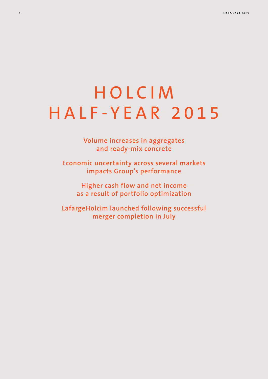## HOLCIM HALF-YEAR 2015

**Volume increases in aggregates and ready-mix concrete** 

**Economic uncertainty across several markets impacts Group's performance**

**Higher cash flow and net income as a result of portfolio optimization**

**LafargeHolcim launched following successful merger completion in July**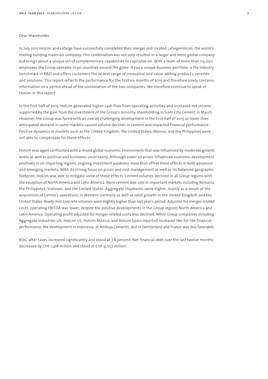#### Dear Shareholder,

In July 2015 Holcim and Lafarge have successfully completed their merger and created LafargeHolcim, the world's leading building materials company. This combination has not only resulted in a larger and more global company but brings about a unique set of complementary capabilities to capitalize on. With a team of more than 115,000 employees the Group operates in 90 countries around the globe. It has a unique business portfolio, is the industry benchmark in R&D and offers customers the widest range of innovative and value-adding products, services and solutions. This report reflects the performance for the first six months of 2015 and therefore solely contains information on a period ahead of the combination of the two companies. We therefore continue to speak of Holcim in this report.

In the first half of 2015, Holcim generated higher cash flow from operating activities and increased net income supported by the gain from the divestment of the Group's minority shareholding in Siam City Cement in March. However, the Group was faced with an overall challenging development in the first half of 2015 as lower than anticipated demand in some markets caused volume declines in cement and impacted financial performance. Positive dynamics in markets such as the United Kingdom, the United States, Mexico, and the Philippines were not able to compensate for these effects.

Holcim was again confronted with a mixed global economic environment that was influenced by moderate growth levels as well as political and economic uncertainty. Although lower oil prices influenced economic development positively in oil-importing regions, ongoing investment weakness more than offset these effects in both advanced and emerging markets. With its strong focus on prices and cost management as well as its balanced geographic footprint, Holcim was able to mitigate some of these effects. Cement volumes declined in all Group regions with the exception of North America and Latin America. More cement was sold in important markets including Romania, the Philippines, Vietnam, and the United States. Aggregate shipments were higher, mainly as a result of the acquisition of Cemex's operations in Western Germany as well as solid growth in the United Kingdom and the United States. Ready-mix concrete volumes were slightly higher than last year's period. Adjusted for merger-related costs, operating EBITDA was lower, despite the positive developments in the Group regions North America and Latin America. Operating profit adjusted for merger-related costs also declined. While Group companies including Aggregate Industries UK, Holcim US, Holcim Mexico, and Holcim Spain reported increased like-for-like financial performance, the development in Indonesia, at Ambuja Cements, and in Switzerland and France was less favorable.

ROIC after taxes increased significantly and stood at 7.8 percent. Net financial debt over the last twelve months decreased by CHF 1,418 million and stood at CHF 9,057 million.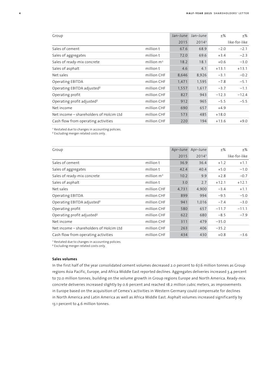| Group                                   |               | Jan-June | Jan-June          | $+$ %   | ±%            |
|-----------------------------------------|---------------|----------|-------------------|---------|---------------|
|                                         |               | 2015     | 2014 <sup>1</sup> |         | like-for-like |
| Sales of cement                         | million t     | 67.6     | 68.9              | $-2.0$  | $-2.1$        |
| Sales of aggregates                     | million t     | 72.0     | 69.6              | $+3.4$  | $-2.3$        |
| Sales of ready-mix concrete             | million $m^3$ | 18.2     | 18.1              | $+0.6$  | $-3.0$        |
| Sales of asphalt                        | million t     | 4.6      | 4.1               | $+13.1$ | $+13.1$       |
| Net sales                               | million CHF   | 8,646    | 8,926             | $-3.1$  | $-0.2$        |
| <b>Operating EBITDA</b>                 | million CHF   | 1,471    | 1,595             | $-7.8$  | $-5.1$        |
| Operating EBITDA adjusted <sup>2</sup>  | million CHF   | 1,557    | 1,617             | $-3.7$  | $-1.1$        |
| Operating profit                        | million CHF   | 827      | 943               | $-12.3$ | $-12.4$       |
| Operating profit adjusted <sup>2</sup>  | million CHF   | 912      | 965               | $-5.5$  | $-5.5$        |
| Net income                              | million CHF   | 690      | 657               | $+4.9$  |               |
| Net income – shareholders of Holcim Ltd | million CHF   | 573      | 485               | $+18.0$ |               |
| Cash flow from operating activities     | million CHF   | 220      | 194               | $+13.6$ | $+9.0$        |

<sup>1</sup> Restated due to changes in accounting policies.

<sup>2</sup> Excluding merger-related costs only.

| Group                                   |               | Apr-June | Apr-June | $+$ %   | $\pm\%$       |
|-----------------------------------------|---------------|----------|----------|---------|---------------|
|                                         |               | 2015     | 20141    |         | like-for-like |
| Sales of cement                         | million t     | 36.9     | 36.4     | $+1.2$  | $+1.1$        |
| Sales of aggregates                     | million t     | 42.4     | 40.4     | $+5.0$  | $-1.0$        |
| Sales of ready-mix concrete             | million $m^3$ | 10.2     | 9.9      | $+2.8$  | $-0.7$        |
| Sales of asphalt                        | million t     | 3.0      | 2.7      | $+12.1$ | $+12.1$       |
| Net sales                               | million CHF   | 4,731    | 4,900    | $-3.4$  | $+1.1$        |
| Operating EBITDA                        | million CHF   | 899      | 994      | $-9.5$  | $-5.0$        |
| Operating EBITDA adjusted <sup>2</sup>  | million CHF   | 941      | 1,016    | $-7.4$  | $-3.0$        |
| Operating profit                        | million CHF   | 580      | 657      | $-11.7$ | $-11.1$       |
| Operating profit adjusted <sup>2</sup>  | million CHF   | 622      | 680      | $-8.5$  | $-7.9$        |
| Net income                              | million CHF   | 311      | 479      | $-35.0$ |               |
| Net income – shareholders of Holcim Ltd | million CHF   | 263      | 406      | $-35.2$ |               |
| Cash flow from operating activities     | million CHF   | 434      | 430      | $+0.8$  | $-3.6$        |

<sup>1</sup> Restated due to changes in accounting policies.

<sup>2</sup> Excluding merger-related costs only.

#### **Sales volumes**

In the first half of the year consolidated cement volumes decreased 2.0 percent to 67.6 million tonnes as Group regions Asia Pacific, Europe, and Africa Middle East reported declines. Aggregates deliveries increased 3.4 percent to 72.0 million tonnes, building on the volume growth in Group regions Europe and North America. Ready-mix concrete deliveries increased slightly by 0.6 percent and reached 18.2 million cubic meters, as improvements in Europe based on the acquisition of Cemex's activities in Western Germany could compensate for declines in North America and Latin America as well as Africa Middle East. Asphalt volumes increased significantly by 13.1 percent to 4.6 million tonnes.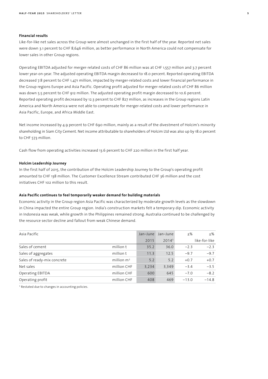#### **Financial results**

Like-for-like net sales across the Group were almost unchanged in the first half of the year. Reported net sales were down 3.1 percent to CHF 8,646 million, as better performance in North America could not compensate for lower sales in other Group regions.

Operating EBITDA adjusted for merger-related costs of CHF 86 million was at CHF 1,557 million and 3.7 percent lower year-on-year. The adjusted operating EBITDA margin decreased to 18.0 percent. Reported operating EBITDA decreased 7.8 percent to CHF 1,471 million, impacted by merger-related costs and lower financial performance in the Group regions Europe and Asia Pacific. Operating profit adjusted for merger-related costs of CHF 86 million was down 5.5 percent to CHF 912 million. The adjusted operating profit margin decreased to 10.6 percent. Reported operating profit decreased by 12.3 percent to CHF 827 million, as increases in the Group regions Latin America and North America were not able to compensate for merger-related costs and lower performance in Asia Pacific, Europe, and Africa Middle East.

Net income increased by 4.9 percent to CHF 690 million, mainly as a result of the divestment of Holcim's minority shareholding in Siam City Cement. Net income attributable to shareholders of Holcim Ltd was also up by 18.0 percent to CHF 573 million.

Cash flow from operating activities increased 13.6 percent to CHF 220 million in the first half year.

#### **Holcim Leadership Journey**

In the first half of 2015, the contribution of the Holcim Leadership Journey to the Group's operating profit amounted to CHF 138 million. The Customer Excellence Stream contributed CHF 36 million and the cost initiatives CHF 102 million to this result.

### **Asia Pacific continues to feel temporarily weaker demand for building materials**

Economic activity in the Group region Asia Pacific was characterized by moderate growth levels as the slowdown in China impacted the entire Group region. India's construction markets felt a temporary dip. Economic activity in Indonesia was weak, while growth in the Philippines remained strong. Australia continued to be challenged by the resource sector decline and fallout from weak Chinese demand.

| Asia Pacific                |               | Jan-June | Jan-June | $+$ %   | $+$ %         |
|-----------------------------|---------------|----------|----------|---------|---------------|
|                             |               | 2015     | 20141    |         | like-for-like |
| Sales of cement             | million t     | 35.2     | 36.0     | $-2.3$  | $-2.3$        |
| Sales of aggregates         | million t     | 11.3     | 12.5     | $-9.7$  | $-9.7$        |
| Sales of ready-mix concrete | million $m^3$ | 5.2      | 5.2      | $+0.7$  | $+0.7$        |
| Net sales                   | million CHF   | 3,234    | 3,349    | $-3.4$  | $-3.5$        |
| Operating EBITDA            | million CHF   | 600      | 645      | $-7.0$  | $-8.2$        |
| Operating profit            | million CHF   | 408      | 469      | $-13.0$ | $-14.8$       |

<sup>1</sup> Restated due to changes in accounting policies.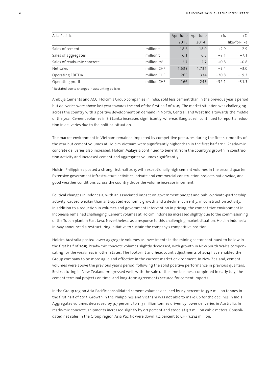| Asia Pacific                |               | Apr-June | Apr-June | $+$ %   | $+$ %         |
|-----------------------------|---------------|----------|----------|---------|---------------|
|                             |               | 2015     | 20141    |         | like-for-like |
| Sales of cement             | million t     | 18.6     | 18.0     | $+2.9$  | $+2.9$        |
| Sales of aggregates         | million t     | 6.1      | 6.5      | $-7.1$  | $-7.1$        |
| Sales of ready-mix concrete | million $m^3$ | 2.7      | 2.7      | $+0.8$  | $+0.8$        |
| Net sales                   | million CHF   | 1,638    | 1,731    | $-5.4$  | $-3.0$        |
| Operating EBITDA            | million CHF   | 265      | 334      | $-20.8$ | $-19.3$       |
| Operating profit            | million CHF   | 166      | 245      | $-32.1$ | $-31.3$       |

<sup>1</sup> Restated due to changes in accounting policies.

Ambuja Cements and ACC, Holcim's Group companies in India, sold less cement than in the previous year's period but deliveries were above last year towards the end of the first half of 2015. The market situation was challenging across the country with a positive development on demand in North, Central, and West India towards the middle of the year. Cement volumes in Sri Lanka increased significantly, whereas Bangladesh continued to report a reduction in deliveries due to the political situation.

The market environment in Vietnam remained impacted by competitive pressures during the first six months of the year but cement volumes at Holcim Vietnam were significantly higher than in the first half 2014. Ready-mix concrete deliveries also increased. Holcim Malaysia continued to benefit from the country's growth in construction activity and increased cement and aggregates volumes significantly.

Holcim Philippines posted a strong first half 2015 with exceptionally high cement volumes in the second quarter. Extensive government infrastructure activities, private and commercial construction projects nationwide, and good weather conditions across the country drove the volume increase in cement.

Political changes in Indonesia, with an associated impact on government budget and public-private-partnership activity, caused weaker than anticipated economic growth and a decline, currently, in construction activity. In addition to a reduction in volumes and government intervention in pricing, the competitive environment in Indonesia remained challenging. Cement volumes at Holcim Indonesia increased slightly due to the commissioning of the Tuban plant in East Java. Nevertheless, as a response to this challenging market situation, Holcim Indonesia in May announced a restructuring initiative to sustain the company's competitive position.

Holcim Australia posted lower aggregate volumes as investments in the mining sector continued to be low in the first half of 2015. Ready-mix concrete volumes slightly decreased, with growth in New South Wales compensating for the weakness in other states. The footprint and headcount adjustments of 2014 have enabled the Group company to be more agile and effective in the current market environment. In New Zealand, cement volumes were above the previous year's period, following the solid positive performance in previous quarters. Restructuring in New Zealand progressed well, with the sale of the lime business completed in early July, the cement terminal projects on time, and long-term agreements secured for cement imports.

In the Group region Asia Pacific consolidated cement volumes declined by 2.3 percent to 35.2 million tonnes in the first half of 2015. Growth in the Philippines and Vietnam was not able to make up for the declines in India. Aggregates volumes decreased by 9.7 percent to 11.3 million tonnes driven by lower deliveries in Australia. In ready-mix concrete, shipments increased slightly by 0.7 percent and stood at 5.2 million cubic meters. Consolidated net sales in the Group region Asia Pacific were down 3.4 percent to CHF 3,234 million.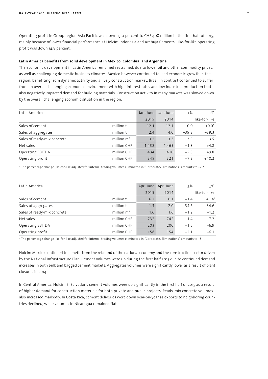Operating profit in Group region Asia Pacific was down 13.0 percent to CHF 408 million in the first half of 2015, mainly because of lower financial performance at Holcim Indonesia and Ambuja Cements. Like-for-like operating profit was down 14.8 percent.

#### **Latin America benefits from solid development in Mexico, Colombia, and Argentina**

The economic development in Latin America remained restrained, due to lower oil and other commodity prices, as well as challenging domestic business climates. Mexico however continued to lead economic growth in the region, benefiting from dynamic activity and a lively construction market. Brazil in contrast continued to suffer from an overall challenging economic environment with high interest rates and low industrial production that also negatively impacted demand for building materials. Construction activity in many markets was slowed down by the overall challenging economic situation in the region.

| Latin America               |               | Jan-June | Jan-June | $+$ %   | +%            |
|-----------------------------|---------------|----------|----------|---------|---------------|
|                             |               | 2015     | 2014     |         | like-for-like |
| Sales of cement             | million t     | 12.1     | 12.1     | $+0.0$  | $+0.01$       |
| Sales of aggregates         | million t     | 2.4      | 4.0      | $-39.3$ | $-39.3$       |
| Sales of ready-mix concrete | million $m^3$ | 3.2      | 3.3      | $-3.5$  | $-3.5$        |
| Net sales                   | million CHF   | 1,438    | 1,465    | $-1.8$  | $+4.8$        |
| Operating EBITDA            | million CHF   | 434      | 410      | $+5.8$  | $+9.8$        |
| Operating profit            | million CHF   | 345      | 321      | $+7.3$  | $+10.2$       |

<sup>1</sup> The percentage change like-for-like adjusted for internal trading volumes eliminated in "Corporate/Eliminations" amounts to +2.7.

| Latin America               |               | Apr-June | Apr-June | $+$ %   | $+$ %         |
|-----------------------------|---------------|----------|----------|---------|---------------|
|                             |               | 2015     | 2014     |         | like-for-like |
| Sales of cement             | million t     | 6.2      | 6.1      | $+1.4$  | $+1.41$       |
| Sales of aggregates         | million t     | 1.3      | 2.0      | $-34.6$ | $-34.6$       |
| Sales of ready-mix concrete | million $m^3$ | 1.6      | 1.6      | $+1.2$  | $+1.2$        |
| Net sales                   | million CHF   | 732      | 742      | $-1.4$  | $+7.2$        |
| Operating EBITDA            | million CHF   | 203      | 200      | $+1.5$  | $+6.9$        |
| Operating profit            | million CHF   | 158      | 154      | $+2.1$  | $+6.1$        |

<sup>1</sup> The percentage change like-for-like adjusted for internal trading volumes eliminated in "Corporate/Eliminations" amounts to +5.1.

Holcim Mexico continued to benefit from the rebound of the national economy and the construction sector driven by the National Infrastructure Plan. Cement volumes were up during the first half 2015 due to continued demand increases in both bulk and bagged cement markets. Aggregates volumes were significantly lower as a result of plant closures in 2014.

In Central America, Holcim El Salvador's cement volumes were up significantly in the first half of 2015 as a result of higher demand for construction materials for both private and public projects. Ready-mix concrete volumes also increased markedly. In Costa Rica, cement deliveries were down year-on-year as exports to neighboring countries declined, while volumes in Nicaragua remained flat.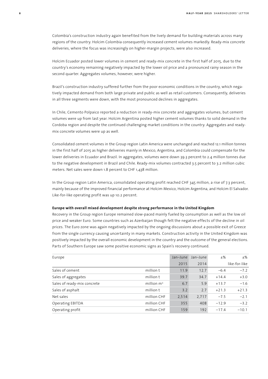Colombia's construction industry again benefited from the lively demand for building materials across many regions of the country. Holcim Colombia consequently increased cement volumes markedly. Ready-mix concrete deliveries, where the focus was increasingly on higher-margin projects, were also increased.

Holcim Ecuador posted lower volumes in cement and ready-mix concrete in the first half of 2015, due to the country's economy remaining negatively impacted by the lower oil price and a pronounced rainy season in the second quarter. Aggregates volumes, however, were higher.

Brazil's construction industry suffered further from the poor economic conditions in the country, which negatively impacted demand from both large private and public as well as retail customers. Consequently, deliveries in all three segments were down, with the most pronounced declines in aggregates.

In Chile, Cemento Polpaico reported a reduction in ready-mix concrete and aggregates volumes, but cement volumes were up from last year. Holcim Argentina posted higher cement volumes thanks to solid demand in the Cordoba region and despite the continued challenging market conditions in the country. Aggregates and readymix concrete volumes were up as well.

Consolidated cement volumes in the Group region Latin America were unchanged and reached 12.1 million tonnes in the first half of 2015 as higher deliveries mainly in Mexico, Argentina, and Colombia could compensate for the lower deliveries in Ecuador and Brazil. In aggregates, volumes were down 39.3 percent to 2.4 million tonnes due to the negative development in Brazil and Chile. Ready-mix volumes contracted 3.5 percent to 3.2 million cubic meters. Net sales were down 1.8 percent to CHF 1,438 million.

In the Group region Latin America, consolidated operating profit reached CHF 345 million, a rise of 7.3 percent, mainly because of the improved financial performance at Holcim Mexico, Holcim Argentina, and Holcim El Salvador. Like-for-like operating profit was up 10.2 percent.

#### **Europe with overall mixed development despite strong performance in the United Kingdom**

Recovery in the Group region Europe remained slow-paced mainly fueled by consumption as well as the low oil price and weaker Euro. Some countries such as Azerbaijan though felt the negative effects of the decline in oil prices. The Euro zone was again negatively impacted by the ongoing discussions about a possible exit of Greece from the single currency causing uncertainty in many markets. Construction activity in the United Kingdom was positively impacted by the overall economic development in the country and the outcome of the general elections. Parts of Southern Europe saw some positive economic signs as Spain's recovery continued.

| Europe                      |               | Jan-June | Jan-June | $+$ %   | ±%            |
|-----------------------------|---------------|----------|----------|---------|---------------|
|                             |               | 2015     | 2014     |         | like-for-like |
| Sales of cement             | million t     | 11.9     | 12.7     | $-6.4$  | $-7.2$        |
| Sales of aggregates         | million t     | 39.7     | 34.7     | $+14.4$ | $+3.0$        |
| Sales of ready-mix concrete | million $m^3$ | 6.7      | 5.9      | $+13.7$ | $-1.6$        |
| Sales of asphalt            | million t     | 3.2      | 2.7      | $+21.3$ | $+21.3$       |
| Net sales                   | million CHF   | 2,514    | 2,717    | $-7.5$  | $-2.1$        |
| Operating EBITDA            | million CHF   | 355      | 408      | $-12.9$ | $-3.2$        |
| Operating profit            | million CHF   | 159      | 192      | $-17.4$ | $-10.1$       |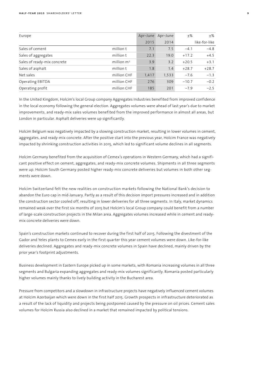| Europe                      |               | Apr-June | Apr-June | $+$ %   | $\pm\%$       |
|-----------------------------|---------------|----------|----------|---------|---------------|
|                             |               | 2015     | 2014     |         | like-for-like |
| Sales of cement             | million t     | 7.1      | 7.5      | $-4.1$  | $-4.8$        |
| Sales of aggregates         | million t     | 22.3     | 19.0     | $+17.2$ | $+4.5$        |
| Sales of ready-mix concrete | million $m^3$ | 3.9      | 3.2      | $+20.5$ | $+3.1$        |
| Sales of asphalt            | million t     | 1.8      | 1.4      | $+28.7$ | $+28.7$       |
| Net sales                   | million CHF   | 1,417    | 1,533    | $-7.6$  | $-1.3$        |
| Operating EBITDA            | million CHF   | 276      | 309      | $-10.7$ | $-0.2$        |
| Operating profit            | million CHF   | 185      | 201      | $-7.9$  | $-2.5$        |

In the United Kingdom, Holcim's local Group company Aggregates Industries benefited from improved confidence in the local economy following the general election. Aggregates volumes were ahead of last year's due to market improvements, and ready-mix sales volumes benefited from the improved performance in almost all areas, but London in particular. Asphalt deliveries were up significantly.

Holcim Belgium was negatively impacted by a slowing construction market, resulting in lower volumes in cement, aggregates, and ready-mix concrete. After the positive start into the previous year, Holcim France was negatively impacted by shrinking construction activities in 2015, which led to significant volume declines in all segments.

Holcim Germany benefited from the acquisition of Cemex's operations in Western Germany, which had a significant positive effect on cement, aggregates, and ready-mix concrete volumes. Shipments in all three segments were up. Holcim South Germany posted higher ready-mix concrete deliveries but volumes in both other segments were down.

Holcim Switzerland felt the new realities on construction markets following the National Bank's decision to abandon the Euro cap in mid-January. Partly as a result of this decision import pressures increased and in addition the construction sector cooled off, resulting in lower deliveries for all three segments. In Italy, market dynamics remained weak over the first six months of 2015 but Holcim's local Group company could benefit from a number of large-scale construction projects in the Milan area. Aggregates volumes increased while in cement and readymix concrete deliveries were down.

Spain's construction markets continued to recover during the first half of 2015. Following the divestment of the Gador and Yeles plants to Cemex early in the first quarter this year cement volumes were down. Like-for-like deliveries declined. Aggregates and ready-mix concrete volumes in Spain have declined, mainly driven by the prior year's footprint adjustments.

Business development in Eastern Europe picked up in some markets, with Romania increasing volumes in all three segments and Bulgaria expanding aggregates and ready-mix volumes significantly. Romania posted particularly higher volumes mainly thanks to lively building activity in the Bucharest area.

Pressure from competitors and a slowdown in infrastructure projects have negatively influenced cement volumes at Holcim Azerbaijan which were down in the first half 2015. Growth prospects in infrastructure deteriorated as a result of the lack of liquidity and projects being postponed caused by the pressure on oil prices. Cement sales volumes for Holcim Russia also declined in a market that remained impacted by political tensions.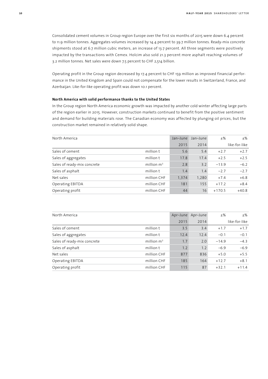Consolidated cement volumes in Group region Europe over the first six months of 2015 were down 6.4 percent to 11.9 million tonnes. Aggregates volumes increased by 14.4 percent to 39.7 million tonnes. Ready-mix concrete shipments stood at 6.7 million cubic meters, an increase of 13.7 percent. All three segments were positively impacted by the transactions with Cemex. Holcim also sold 21.3 percent more asphalt reaching volumes of 3.2 million tonnes. Net sales were down 7.5 percent to CHF 2,514 billion.

Operating profit in the Group region decreased by 17.4 percent to CHF 159 million as improved financial performance in the United Kingdom and Spain could not compensate for the lower results in Switzerland, France, and Azerbaijan. Like-for-like operating profit was down 10.1 percent.

#### **North America with solid performance thanks to the United States**

In the Group region North America economic growth was impacted by another cold winter affecting large parts of the region earlier in 2015. However, construction markets continued to benefit from the positive sentiment and demand for building materials rose. The Canadian economy was affected by plunging oil prices, but the construction market remained in relatively solid shape.

| North America               |               | Jan-June | Jan-June | $+$ %    | $\pm\%$       |
|-----------------------------|---------------|----------|----------|----------|---------------|
|                             |               | 2015     | 2014     |          | like-for-like |
| Sales of cement             | million t     | 5.6      | 5.4      | $+2.7$   | $+2.7$        |
| Sales of aggregates         | million t     | 17.8     | 17.4     | $+2.5$   | $+2.5$        |
| Sales of ready-mix concrete | million $m^3$ | 2.8      | 3.2      | $-13.9$  | $-6.2$        |
| Sales of asphalt            | million t     | 1.4      | 1.4      | $-2.7$   | $-2.7$        |
| Net sales                   | million CHF   | 1,374    | 1,280    | $+7.4$   | $+6.8$        |
| Operating EBITDA            | million CHF   | 181      | 155      | $+17.2$  | $+8.4$        |
| Operating profit            | million CHF   | 44       | 16       | $+170.5$ | $+40.8$       |

| North America               |               | Apr-June | Apr-June | $\pm\%$ | ±%            |
|-----------------------------|---------------|----------|----------|---------|---------------|
|                             |               | 2015     | 2014     |         | like-for-like |
| Sales of cement             | million t     | 3.5      | 3.4      | $+1.7$  | $+1.7$        |
| Sales of aggregates         | million t     | 12.4     | 12.4     | $-0.1$  | $-0.1$        |
| Sales of ready-mix concrete | million $m^3$ | 1.7      | 2.0      | $-14.9$ | $-4.3$        |
| Sales of asphalt            | million t     | 1.2      | 1.2      | $-6.9$  | $-6.9$        |
| Net sales                   | million CHF   | 877      | 836      | $+5.0$  | $+5.5$        |
| Operating EBITDA            | million CHF   | 185      | 164      | $+12.7$ | $+8.1$        |
| Operating profit            | million CHF   | 115      | 87       | $+32.1$ | $+11.4$       |
|                             |               |          |          |         |               |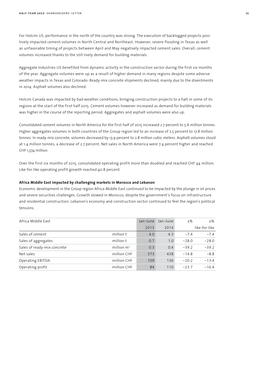For Holcim US, performance in the north of the country was strong. The execution of backlogged projects positively impacted cement volumes in North Central and Northeast. However, severe flooding in Texas as well as unfavorable timing of projects between April and May negatively impacted cement sales. Overall, cement volumes increased thanks to the still lively demand for building materials.

Aggregate Industries US benefited from dynamic activity in the construction sector during the first six months of the year. Aggregate volumes were up as a result of higher demand in many regions despite some adverse weather impacts in Texas and Colorado. Ready-mix concrete shipments declined, mainly due to the divestments in 2014. Asphalt volumes also declined.

Holcim Canada was impacted by bad weather conditions, bringing construction projects to a halt in some of its regions at the start of the first half 2015. Cement volumes however increased as demand for building materials was higher in the course of the reporting period. Aggregates and asphalt volumes were also up.

Consolidated cement volumes in North America for the first half of 2015 increased 2.7 percent to 5.6 million tonnes. Higher aggregates volumes in both countries of the Group region led to an increase of 2.5 percent to 17.8 million tonnes. In ready-mix concrete, volumes decreased by 13.9 percent to 2.8 million cubic meters. Asphalt volumes stood at 1.4 million tonnes, a decrease of 2.7 percent. Net sales in North America were 7.4 percent higher and reached CHF 1,374 million.

Over the first six months of 2015, consolidated operating profit more than doubled and reached CHF 44 million. Like-for-like operating profit growth reached 40.8 percent.

#### **Africa Middle East impacted by challenging markets in Morocco and Lebanon**

Economic development in the Group region Africa Middle East continued to be impacted by the plunge in oil prices and severe securities challenges. Growth slowed in Morocco, despite the government's focus on infrastructure and residential construction. Lebanon's economy and construction sector continued to feel the region's political tensions.

| Africa Middle East          |               | Jan-June | Jan-June | $+$ %   | +%            |
|-----------------------------|---------------|----------|----------|---------|---------------|
|                             |               | 2015     | 2014     |         | like-for-like |
| Sales of cement             | million t     | 4.0      | 4.3      | $-7.4$  | $-7.4$        |
| Sales of aggregates         | million t     | 0.7      | 1.0      | $-28.0$ | $-28.0$       |
| Sales of ready-mix concrete | million $m^3$ | 0.3      | 0.4      | $-39.2$ | $-39.2$       |
| Net sales                   | million CHF   | 373      | 438      | $-14.8$ | $-8.8$        |
| Operating EBITDA            | million CHF   | 109      | 136      | $-20.2$ | $-13.4$       |
| Operating profit            | million CHF   | 84       | 110      | $-23.7$ | $-16.4$       |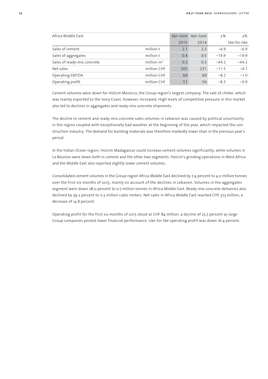| Africa Middle East          |               | Apr-June | Apr-June | $+$ %   | $+$ %         |
|-----------------------------|---------------|----------|----------|---------|---------------|
|                             |               | 2015     | 2014     |         | like-for-like |
| Sales of cement             | million t     | 2.1      | 2.3      | $-6.9$  | $-6.9$        |
| Sales of aggregates         | million t     | 0.4      | 0.5      | $-19.9$ | $-19.9$       |
| Sales of ready-mix concrete | million $m^3$ | 0.2      | 0.3      | $-44.2$ | $-44.2$       |
| Net sales                   | million CHF   | 205      | 231      | $-11.5$ | $-4.7$        |
| Operating EBITDA            | million CHF   | 64       | 69       | $-8.2$  | $-1.0$        |
| Operating profit            | million CHF   | 51       | 56       | $-8.3$  | $-0.9$        |

Cement volumes were down for Holcim Morocco, the Group region's largest company. The sale of clinker, which was mainly exported to the Ivory Coast, however, increased. High levels of competitive pressure in this market also led to declines in aggregates and ready-mix concrete shipments.

The decline in cement and ready-mix concrete sales volumes in Lebanon was caused by political uncertainty in the region coupled with exceptionally bad weather at the beginning of the year, which impacted the construction industry. The demand for building materials was therefore markedly lower than in the previous year's period.

In the Indian Ocean region, Holcim Madagascar could increase cement volumes significantly, while volumes in La Réunion were down both in cement and the other two segments. Holcim's grinding operations in West Africa and the Middle East also reported slightly lower cement volumes.

Consolidated cement volumes in the Group region Africa Middle East declined by 7.4 percent to 4.0 million tonnes over the first six months of 2015, mainly on account of the declines in Lebanon. Volumes in the aggregates segment were down 28.0 percent to 0.7 million tonnes in Africa Middle East. Ready-mix concrete deliveries also declined by 39.2 percent to 0.3 million cubic meters. Net sales in Africa Middle East reached CHF 373 million, a decrease of 14.8 percent.

Operating profit for the first six months of 2015 stood at CHF 84 million, a decline of 23.7 percent as large Group companies posted lower financial performance. Like-for-like operating profit was down 16.4 percent.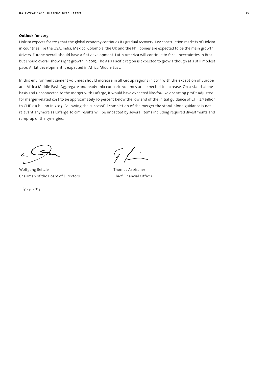#### **Outlook for 2015**

Holcim expects for 2015 that the global economy continues its gradual recovery. Key construction markets of Holcim in countries like the USA, India, Mexico, Colombia, the UK and the Philippines are expected to be the main growth drivers. Europe overall should have a flat development. Latin America will continue to face uncertainties in Brazil but should overall show slight growth in 2015. The Asia Pacific region is expected to grow although at a still modest pace. A flat development is expected in Africa Middle East.

In this environment cement volumes should increase in all Group regions in 2015 with the exception of Europe and Africa Middle East. Aggregate and ready-mix concrete volumes are expected to increase. On a stand-alone basis and unconnected to the merger with Lafarge, it would have expected like-for-like operating profit adjusted for merger-related cost to be approximately 10 percent below the low end of the initial guidance of CHF 2.7 billion to CHF 2.9 billion in 2015. Following the successful completion of the merger the stand-alone guidance is not relevant anymore as LafargeHolcim results will be impacted by several items including required divestments and ramp-up of the synergies.

Wolfgang Reitzle Thomas Aebischer Chairman of the Board of Directors Chief Financial Officer

July 29, 2015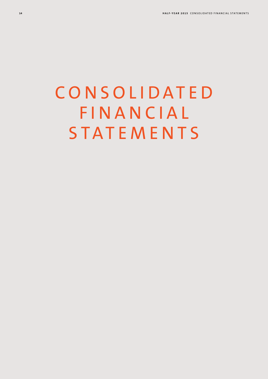# **CONSOLIDATED FINANCIAL STATEMENTS**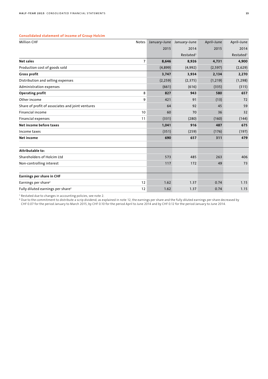#### **Consolidated statement of income of Group Holcim**

| <b>Million CHF</b>                               | Notes          | January-June | January-June          | April-June | April-June            |
|--------------------------------------------------|----------------|--------------|-----------------------|------------|-----------------------|
|                                                  |                | 2015         | 2014                  | 2015       | 2014                  |
|                                                  |                |              | Restated <sup>1</sup> |            | Restated <sup>1</sup> |
| Net sales                                        | $\overline{7}$ | 8,646        | 8,926                 | 4,731      | 4,900                 |
| Production cost of goods sold                    |                | (4, 899)     | (4,992)               | (2, 597)   | (2,629)               |
| <b>Gross profit</b>                              |                | 3,747        | 3,934                 | 2,134      | 2,270                 |
| Distribution and selling expenses                |                | (2, 259)     | (2, 375)              | (1, 219)   | (1, 298)              |
| Administration expenses                          |                | (661)        | (616)                 | (335)      | (315)                 |
| Operating profit                                 | 8              | 827          | 943                   | 580        | 657                   |
| Other income                                     | 9              | 421          | 91                    | (13)       | 72                    |
| Share of profit of associates and joint ventures |                | 64           | 92                    | 45         | 59                    |
| Financial income                                 | 10             | 60           | 70                    | 36         | 32                    |
| <b>Financial expenses</b>                        | 11             | (331)        | (280)                 | (160)      | (144)                 |
| Net income before taxes                          |                | 1,041        | 916                   | 487        | 675                   |
| Income taxes                                     |                | (351)        | (259)                 | (176)      | (197)                 |
| <b>Net income</b>                                |                | 690          | 657                   | 311        | 479                   |
|                                                  |                |              |                       |            |                       |
| Attributable to:                                 |                |              |                       |            |                       |
| Shareholders of Holcim Ltd                       |                | 573          | 485                   | 263        | 406                   |
| Non-controlling interest                         |                | 117          | 172                   | 49         | 73                    |
|                                                  |                |              |                       |            |                       |
| Earnings per share in CHF                        |                |              |                       |            |                       |
| Earnings per share <sup>2</sup>                  | 12             | 1.62         | 1.37                  | 0.74       | 1.15                  |
| Fully diluted earnings per share <sup>2</sup>    | 12             | 1.62         | 1.37                  | 0.74       | 1.15                  |

<sup>1</sup> Restated due to changes in accounting policies, see note 2.

<sup>2</sup> Due to the commitment to distribute a scrip dividend, as explained in note 12, the earnings per share and the fully diluted earnings per share decreased by

CHF 0.07 for the period January to March 2015, by CHF 0.10 for the period April to June 2014 and by CHF 0.12 for the period January to June 2014.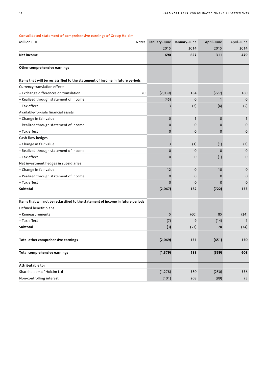| consonuateu statement or comprenensive earnings or Group Holchin                 |              |              |              |              |
|----------------------------------------------------------------------------------|--------------|--------------|--------------|--------------|
| <b>Million CHF</b><br>Notes                                                      | January-June | January-June | April-June   | April-June   |
|                                                                                  | 2015         | 2014         | 2015         | 2014         |
| Net income                                                                       | 690          | 657          | 311          | 479          |
| Other comprehensive earnings                                                     |              |              |              |              |
|                                                                                  |              |              |              |              |
| Items that will be reclassified to the statement of income in future periods     |              |              |              |              |
| Currency translation effects                                                     |              |              |              |              |
| - Exchange differences on translation<br>20                                      | (2,039)      | 184          | (727)        | 160          |
| - Realized through statement of income                                           | (45)         | $\Omega$     | $\mathbf{1}$ | $\mathbf 0$  |
| - Tax effect                                                                     | 3            | (2)          | (4)          | (5)          |
| Available-for-sale financial assets                                              |              |              |              |              |
| - Change in fair value                                                           | $\mathbf 0$  | $\mathbf{1}$ | $\mathbf 0$  | $\mathbf{1}$ |
| - Realized through statement of income                                           | 0            | $\mathbf 0$  | $\mathbf 0$  | $\mathbf 0$  |
| - Tax effect                                                                     | 0            | $\mathbf 0$  | 0            | $\mathbf 0$  |
| Cash flow hedges                                                                 |              |              |              |              |
| - Change in fair value                                                           | 3            | (1)          | (1)          | (3)          |
| - Realized through statement of income                                           | 0            | $\mathbf 0$  | $\Omega$     | $\mathbf 0$  |
| - Tax effect                                                                     | $\mathbf 0$  | $\mathbf 0$  | (1)          | $\mathbf 0$  |
| Net investment hedges in subsidiaries                                            |              |              |              |              |
| - Change in fair value                                                           | 12           | $\mathbf 0$  | 10           | $\mathbf 0$  |
| - Realized through statement of income                                           | $\mathbf 0$  | $\mathbf 0$  | $\mathbf 0$  | $\mathbf 0$  |
| - Tax effect                                                                     | $\mathbf 0$  | 0            | 0            | $\mathbf 0$  |
| Subtotal                                                                         | (2,067)      | 182          | (722)        | 153          |
| Items that will not be reclassified to the statement of income in future periods |              |              |              |              |
| Defined benefit plans                                                            |              |              |              |              |
| – Remeasurements                                                                 | 5            | (60)         | 85           | (24)         |
| - Tax effect                                                                     | (7)          | 9            | (14)         | $\mathbf{1}$ |
| Subtotal                                                                         | (3)          | (52)         | 70           | (24)         |
|                                                                                  |              |              |              |              |
| Total other comprehensive earnings                                               | (2,069)      | 131          | (651)        | 130          |
| <b>Total comprehensive earnings</b>                                              | (1, 379)     | 788          | (339)        | 608          |
|                                                                                  |              |              |              |              |
| Attributable to:                                                                 |              |              |              |              |
| Shareholders of Holcim Ltd                                                       | (1, 278)     | 580          | (250)        | 536          |
| Non-controlling interest                                                         | (101)        | 208          | (89)         | 73           |

#### **Consolidated statement of comprehensive earnings of Group Holcim**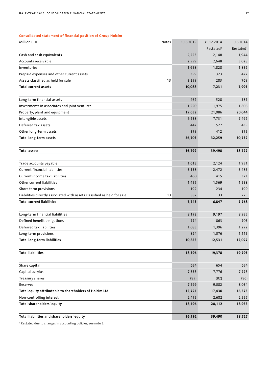## **Consolidated statement of financial position of Group Holcim**

| <b>Million CHF</b>                                                      | Notes | 30.6.2015 | 31.12.2014            | 30.6.2014             |
|-------------------------------------------------------------------------|-------|-----------|-----------------------|-----------------------|
|                                                                         |       |           | Restated <sup>1</sup> | Restated <sup>1</sup> |
| Cash and cash equivalents                                               |       | 2,253     | 2,148                 | 1,944                 |
| Accounts receivable                                                     |       | 2,559     | 2,648                 | 3,028                 |
| Inventories                                                             |       | 1,658     | 1,828                 | 1,832                 |
| Prepaid expenses and other current assets                               |       | 359       | 323                   | 422                   |
| Assets classified as held for sale                                      | 13    | 3,259     | 283                   | 769                   |
| <b>Total current assets</b>                                             |       | 10,088    | 7,231                 | 7,995                 |
|                                                                         |       |           |                       |                       |
| Long-term financial assets                                              |       | 462       | 528                   | 581                   |
| Investments in associates and joint ventures                            |       | 1,550     | 1,975                 | 1,806                 |
| Property, plant and equipment                                           |       | 17,632    | 21,086                | 20,044                |
| Intangible assets                                                       |       | 6,238     | 7,731                 | 7,492                 |
| Deferred tax assets                                                     |       | 442       | 527                   | 435                   |
| Other long-term assets                                                  |       | 379       | 412                   | 375                   |
| <b>Total long-term assets</b>                                           |       | 26,703    | 32,259                | 30,732                |
| <b>Total assets</b>                                                     |       | 36,792    | 39,490                | 38,727                |
| Trade accounts payable                                                  |       | 1,613     | 2,124                 | 1,951                 |
| <b>Current financial liabilities</b>                                    |       | 3,138     | 2,472                 | 3,485                 |
| Current income tax liabilities                                          |       | 460       | 415                   | 371                   |
| Other current liabilities                                               |       | 1,457     | 1,569                 | 1,538                 |
| Short-term provisions                                                   |       | 192       | 234                   | 199                   |
| Liabilities directly associated with assets classified as held for sale | 13    | 882       | 33                    | 225                   |
| <b>Total current liabilities</b>                                        |       | 7,743     | 6,847                 | 7,768                 |
|                                                                         |       |           |                       |                       |
| Long-term financial liabilities                                         |       | 8,172     | 9,197                 | 8,935                 |
| Defined benefit obligations                                             |       | 774       | 863                   | 705                   |
| Deferred tax liabilities                                                |       | 1,083     | 1,396                 | 1,272                 |
| Long-term provisions                                                    |       | 824       | 1,076                 | 1,115                 |
| <b>Total long-term liabilities</b>                                      |       | 10,853    | 12,531                | 12,027                |
| <b>Total liabilities</b>                                                |       | 18,596    | 19,378                | 19,795                |
| Share capital                                                           |       | 654       | 654                   | 654                   |
| Capital surplus                                                         |       | 7,353     | 7,776                 | 7,773                 |
| Treasury shares                                                         |       | (85)      | (82)                  | (86)                  |
| Reserves                                                                |       | 7,799     | 9,082                 | 8,034                 |
| Total equity attributable to shareholders of Holcim Ltd                 |       | 15,721    | 17,430                | 16,375                |
| Non-controlling interest                                                |       | 2,475     | 2,682                 | 2,557                 |
| Total shareholders' equity                                              |       | 18,196    | 20,112                | 18,933                |
| Total liabilities and shareholders' equity                              |       | 36,792    | 39,490                | 38,727                |

<sup>1</sup> Restated due to changes in accounting policies, see note 2.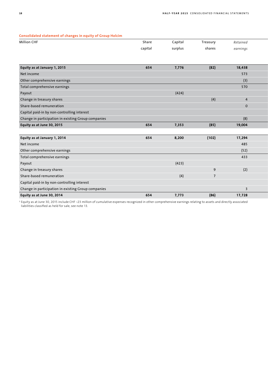### **Consolidated statement of changes in equity of Group Holcim**

| consonaated statement of enanges in equity of croap from |         |         |                |                |
|----------------------------------------------------------|---------|---------|----------------|----------------|
| <b>Million CHF</b>                                       | Share   | Capital | Treasury       | Retained       |
|                                                          | capital | surplus | shares         | earnings       |
|                                                          |         |         |                |                |
|                                                          |         |         |                |                |
| Equity as at January 1, 2015                             | 654     | 7,776   | (82)           | 18,438         |
| Net income                                               |         |         |                | 573            |
| Other comprehensive earnings                             |         |         |                | (3)            |
| Total comprehensive earnings                             |         |         |                | 570            |
| Payout                                                   |         | (424)   |                |                |
| Change in treasury shares                                |         |         | (4)            | $\overline{4}$ |
| Share-based remuneration                                 |         |         |                | $\mathbf{0}$   |
| Capital paid-in by non-controlling interest              |         |         |                |                |
| Change in participation in existing Group companies      |         |         |                | (8)            |
| Equity as at June 30, 2015                               | 654     | 7,353   | (85)           | 19,004         |
|                                                          |         |         |                |                |
| Equity as at January 1, 2014                             | 654     | 8,200   | (102)          | 17,294         |
| Net income                                               |         |         |                | 485            |
| Other comprehensive earnings                             |         |         |                | (52)           |
| Total comprehensive earnings                             |         |         |                | 433            |
| Payout                                                   |         | (423)   |                |                |
| Change in treasury shares                                |         |         | 9              | (2)            |
| Share-based remuneration                                 |         | (4)     | $\overline{ }$ |                |
| Capital paid-in by non-controlling interest              |         |         |                |                |
| Change in participation in existing Group companies      |         |         |                | $\overline{3}$ |
| Equity as at June 30, 2014                               | 654     | 7,773   | (86)           | 17,728         |

<sup>1</sup> Equity as at June 30, 2015 include CHF –23 million of cumulative expenses recognized in other comprehensive earnings relating to assets and directly associated liabilities classified as held for sale, see note 13.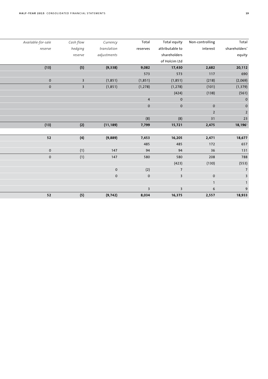| Total            | Non-controlling | Total equity            | Total                   | Currency       | Cash flow               | Available-for-sale |
|------------------|-----------------|-------------------------|-------------------------|----------------|-------------------------|--------------------|
| shareholders'    | interest        | attributable to         | reserves                | translation    | hedging                 | reserve            |
| equity           |                 | shareholders            |                         | adjustments    | reserve                 |                    |
|                  |                 | of Holcim Ltd           |                         |                |                         |                    |
| 20,112           | 2,682           | 17,430                  | 9,082                   | (9,338)        | (5)                     | (13)               |
| 690              | 117             | 573                     | 573                     |                |                         |                    |
| (2,069)          | (218)           | (1, 851)                | (1,851)                 | (1, 851)       | $\overline{\mathbf{3}}$ | $\overline{0}$     |
| (1, 379)         | (101)           | (1, 278)                | (1, 278)                | (1, 851)       | $\overline{\mathbf{3}}$ | $\overline{0}$     |
| (561)            | (138)           | (424)                   |                         |                |                         |                    |
| $\pmb{0}$        |                 | $\,$ O                  | $\overline{4}$          |                |                         |                    |
|                  | $\mathbf 0$     | $\mathbf 0$             | $\mathbf 0$             |                |                         |                    |
|                  | $\overline{2}$  |                         |                         |                |                         |                    |
| $23$             | 31              | (8)                     | (8)                     |                |                         |                    |
| $18,196^{\circ}$ | 2,475           | 15,721                  | 7,799                   | (11, 189)      | (2)                     | (13)               |
|                  |                 |                         |                         |                |                         |                    |
| 18,677           | 2,471           | 16,205                  | 7,453                   | (9,889)        | (4)                     | 52                 |
| 657              | 172             | 485                     | 485                     |                |                         |                    |
| 131              | 36              | 94                      | 94                      | 147            | (1)                     | $\overline{0}$     |
| 788              | 208             | 580                     | 580                     | 147            | (1)                     | $\overline{0}$     |
| (553)            | (130)           | (423)                   |                         |                |                         |                    |
|                  |                 | $\overline{7}$          | (2)                     | $\mathsf{O}^-$ |                         |                    |
|                  | $\mathsf{O}$    | $\overline{\mathbf{3}}$ | $\overline{0}$          | $\mathbf{0}$   |                         |                    |
|                  | $\overline{1}$  |                         |                         |                |                         |                    |
|                  | $6\overline{6}$ | $\overline{3}$          | $\overline{\mathbf{3}}$ |                |                         |                    |
| 18,933           | 2,557           | 16,375                  | 8,034                   | (9, 742)       | (5)                     | 52                 |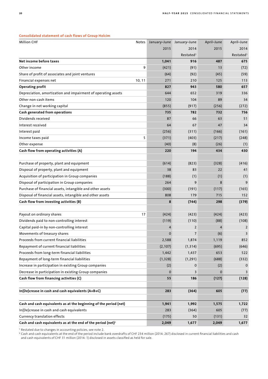| <b>Million CHF</b>                                                | Notes  |          | January-June January-June | April-June  | April-June            |
|-------------------------------------------------------------------|--------|----------|---------------------------|-------------|-----------------------|
|                                                                   |        | 2015     | 2014                      | 2015        | 2014                  |
|                                                                   |        |          | Restated <sup>1</sup>     |             | Restated <sup>1</sup> |
| Net income before taxes                                           |        | 1,041    | 916                       | 487         | 675                   |
| Other income                                                      | 9      | (421)    | (91)                      | 13          | (72)                  |
| Share of profit of associates and joint ventures                  |        | (64)     | (92)                      | (45)        | (59)                  |
| Financial expenses net                                            | 10, 11 | 271      | 210                       | 125         | 113                   |
| <b>Operating profit</b>                                           |        | 827      | 943                       | 580         | 657                   |
| Depreciation, amortization and impairment of operating assets     |        | 644      | 652                       | 319         | 336                   |
| Other non-cash items                                              |        | 120      | 104                       | 89          | 34                    |
| Change in net working capital                                     |        | (855)    | (917)                     | (256)       | (272)                 |
| Cash generated from operations                                    |        | 735      | 782                       | 732         | 756                   |
| Dividends received                                                |        | 87       | 66                        | 63          | 51                    |
| Interest received                                                 |        | 64       | 67                        | 47          | 34                    |
| Interest paid                                                     |        | (256)    | (311)                     | (166)       | (161)                 |
| Income taxes paid                                                 | 5      | (371)    | (403)                     | (217)       | (248)                 |
| Other expense                                                     |        | (40)     | (8)                       | (26)        | (1)                   |
| Cash flow from operating activities (A)                           |        | 220      | 194                       | 434         | 430                   |
|                                                                   |        |          |                           |             |                       |
| Purchase of property, plant and equipment                         |        | (614)    | (823)                     | (328)       | (416)                 |
| Disposal of property, plant and equipment                         |        | 38       | 83                        | 22          | 41                    |
| Acquisition of participation in Group companies                   |        | (188)    | (1)                       | (1)         | (1)                   |
| Disposal of participation in Group companies                      |        | 264      | 9                         | 8           | 9                     |
| Purchase of financial assets, intangible and other assets         |        | (300)    | (191)                     | (117)       | (165)                 |
| Disposal of financial assets, intangible and other assets         |        | 808      | 179                       | 715         | 152                   |
| Cash flow from investing activities (B)                           |        | 8        | (744)                     | 298         | (379)                 |
|                                                                   |        |          |                           |             |                       |
| Payout on ordinary shares                                         | 17     | (424)    | (423)                     | (424)       | (423)                 |
| Dividends paid to non-controlling interest                        |        | (119)    | (110)                     | (88)        | (108)                 |
| Capital paid-in by non-controlling interest                       |        | 4        | $\overline{2}$            | 4           | $\overline{2}$        |
| Movements of treasury shares                                      |        | 0        | 7                         | (6)         | 3                     |
| Proceeds from current financial liabilities                       |        | 2,588    | 1,874                     | 1,119       | 852                   |
| Repayment of current financial liabilities                        |        | (2, 107) | (1, 314)                  | (695)       | (646)                 |
| Proceeds from long-term financial liabilities                     |        | 1,442    | 1,437                     | 653         | 522                   |
| Repayment of long-term financial liabilities                      |        | (1, 328) | (1, 291)                  | (688)       | (332)                 |
| Increase in participation in existing Group companies             |        | (2)      | 0                         | (2)         | 0                     |
| Decrease in participation in existing Group companies             |        | 0        | 3                         | $\mathbf 0$ | 3                     |
| Cash flow from financing activities (C)                           |        | 55       | 186                       | (127)       | (128)                 |
|                                                                   |        |          |                           |             |                       |
| In(De)crease in cash and cash equivalents (A+B+C)                 |        | 283      | (364)                     | 605         | (77)                  |
| Cash and cash equivalents as at the beginning of the period (net) |        | 1,941    | 1,992                     | 1,575       | 1,722                 |
| In(De)crease in cash and cash equivalents                         |        | 283      | (364)                     | 605         | (77)                  |
| Currency translation effects                                      |        | (175)    | 50                        | (131)       | 32                    |
| Cash and cash equivalents as at the end of the period (net) $2$   |        | 2,049    | 1,677                     | 2,049       | 1,677                 |

#### **Consolidated statement of cash flows of Group Holcim**

<sup>1</sup> Restated due to changes in accounting policies, see note 2.

<sup>2</sup> Cash and cash equivalents at the end of the period include bank overdrafts of CHF 234 million (2014: 267) disclosed in current financial liabilities and cash and cash equivalents of CHF 31 million (2014: 1) disclosed in assets classified as held for sale.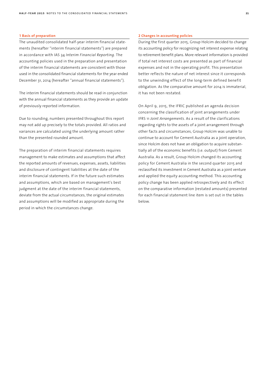#### **1 Basis of preparation**

The unaudited consolidated half-year interim financial statements (hereafter "interim financial statements") are prepared in accordance with IAS 34 *Interim Financial Reporting.* The accounting policies used in the preparation and presentation of the interim financial statements are consistent with those used in the consolidated financial statements for the year ended December 31, 2014 (hereafter "annual financial statements").

The interim financial statements should be read in conjunction with the annual financial statements as they provide an update of previously reported information.

Due to rounding, numbers presented throughout this report may not add up precisely to the totals provided. All ratios and variances are calculated using the underlying amount rather than the presented rounded amount.

The preparation of interim financial statements requires management to make estimates and assumptions that affect the reported amounts of revenues, expenses, assets, liabilities and disclosure of contingent liabilities at the date of the interim financial statements. If in the future such estimates and assumptions, which are based on management's best judgment at the date of the interim financial statements, deviate from the actual circumstances, the original estimates and assumptions will be modified as appropriate during the period in which the circumstances change.

#### **2 Changes in accounting policies**

During the first quarter 2015, Group Holcim decided to change its accounting policy for recognizing net interest expense relating to retirement benefit plans. More relevant information is provided if total net interest costs are presented as part of financial expenses and not in the operating profit. This presentation better reflects the nature of net interest since it corresponds to the unwinding effect of the long-term defined benefit obligation. As the comparative amount for 2014 is immaterial, it has not been restated.

On April 9, 2015, the IFRIC published an agenda decision concerning the classification of joint arrangements under IFRS 11 *Joint Arrangements*. As a result of the clarifications regarding rights to the assets of a joint arrangement through other facts and circumstances, Group Holcim was unable to continue to account for Cement Australia as a joint operation, since Holcim does not have an obligation to acquire substantially all of the economic benefits (i.e. output) from Cement Australia. As a result, Group Holcim changed its accounting policy for Cement Australia in the second quarter 2015 and reclassified its investment in Cement Australia as a joint venture and applied the equity accounting method. This accounting policy change has been applied retrospectively and its effect on the comparative information (restated amounts) presented for each financial statement line item is set out in the tables below.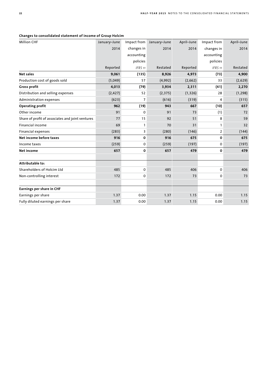| Changes to consolidated statement of income of Group Holcim |  |  |  |
|-------------------------------------------------------------|--|--|--|
|-------------------------------------------------------------|--|--|--|

| <b>Million CHF</b>                               | January-June |                | Impact from January-June | April-June | Impact from    | April-June |
|--------------------------------------------------|--------------|----------------|--------------------------|------------|----------------|------------|
|                                                  | 2014         | changes in     | 2014                     | 2014       | changes in     | 2014       |
|                                                  |              | accounting     |                          |            | accounting     |            |
|                                                  |              | policies       |                          |            | policies       |            |
|                                                  | Reported     | IFRS 11        | Restated                 | Reported   | IFRS 11        | Restated   |
| <b>Net sales</b>                                 | 9,061        | (135)          | 8,926                    | 4,973      | (73)           | 4,900      |
| Production cost of goods sold                    | (5,049)      | 57             | (4,992)                  | (2,662)    | 33             | (2,629)    |
| <b>Gross profit</b>                              | 4,013        | (79)           | 3,934                    | 2,311      | (41)           | 2,270      |
| Distribution and selling expenses                | (2, 427)     | 52             | (2, 375)                 | (1, 326)   | 28             | (1, 298)   |
| Administration expenses                          | (623)        | $\overline{7}$ | (616)                    | (319)      | 4              | (315)      |
| <b>Operating profit</b>                          | 962          | (19)           | 943                      | 667        | (10)           | 657        |
| Other income                                     | 91           | 0              | 91                       | 73         | (1)            | 72         |
| Share of profit of associates and joint ventures | 77           | 15             | 92                       | 51         | 8              | 59         |
| <b>Financial income</b>                          | 69           | $\mathbf{1}$   | 70                       | 31         | $\mathbf{1}$   | 32         |
| <b>Financial expenses</b>                        | (283)        | 3              | (280)                    | (146)      | $\overline{2}$ | (144)      |
| Net income before taxes                          | 916          | $\mathbf 0$    | 916                      | 675        | 0              | 675        |
| Income taxes                                     | (259)        | 0              | (259)                    | (197)      | $\Omega$       | (197)      |
| <b>Net income</b>                                | 657          | $\mathbf 0$    | 657                      | 479        | 0              | 479        |
| Attributable to:                                 |              |                |                          |            |                |            |
| Shareholders of Holcim Ltd                       | 485          | $\mathbf 0$    | 485                      | 406        | $\Omega$       | 406        |
| Non-controlling interest                         | 172          | 0              | 172                      | 73         | 0              | 73         |
| Earnings per share in CHF                        |              |                |                          |            |                |            |
| Earnings per share                               | 1.37         | 0.00           | 1.37                     | 1.15       | 0.00           | 1.15       |
| Fully diluted earnings per share                 | 1.37         | 0.00           | 1.37                     | 1.15       | 0.00           | 1.15       |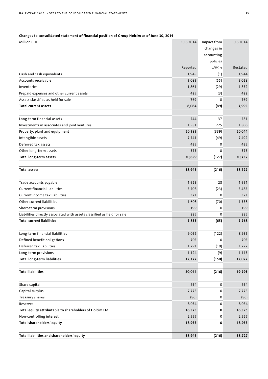## **Changes to consolidated statement of financial position of Group Holcim as of June 30, 2014**

| <b>Million CHF</b>                                                      | 30.6.2014 | Impact from | 30.6.2014 |
|-------------------------------------------------------------------------|-----------|-------------|-----------|
|                                                                         |           | changes in  |           |
|                                                                         |           | accounting  |           |
|                                                                         |           | policies    |           |
|                                                                         | Reported  | IFRS 11     | Restated  |
| Cash and cash equivalents                                               | 1,945     | (1)         | 1,944     |
| Accounts receivable                                                     | 3,083     | (55)        | 3,028     |
| Inventories                                                             | 1,861     | (29)        | 1,832     |
| Prepaid expenses and other current assets                               | 425       | (3)         | 422       |
| Assets classified as held for sale                                      | 769       | $\Omega$    | 769       |
| <b>Total current assets</b>                                             | 8,084     | (89)        | 7,995     |
|                                                                         |           |             |           |
| Long-term financial assets                                              | 544       | 37          | 581       |
| Investments in associates and joint ventures                            | 1,581     | 225         | 1,806     |
| Property, plant and equipment                                           | 20,383    | (339)       | 20,044    |
| Intangible assets                                                       | 7,541     | (49)        | 7,492     |
| Deferred tax assets                                                     | 435       | 0           | 435       |
| Other long-term assets                                                  | 375       | $\Omega$    | 375       |
| <b>Total long-term assets</b>                                           | 30,859    | (127)       | 30,732    |
| <b>Total assets</b>                                                     |           |             |           |
|                                                                         | 38,943    | (216)       | 38,727    |
| Trade accounts payable                                                  | 1,923     | 28          | 1,951     |
| <b>Current financial liabilities</b>                                    | 3,508     | (23)        | 3,485     |
| Current income tax liabilities                                          | 371       | 0           | 371       |
| Other current liabilities                                               | 1,608     | (70)        | 1,538     |
| Short-term provisions                                                   | 199       | 0           | 199       |
| Liabilities directly associated with assets classified as held for sale | 225       | $\Omega$    | 225       |
| <b>Total current liabilities</b>                                        | 7,833     | (65)        | 7,768     |
|                                                                         |           |             |           |
| Long-term financial liabilities                                         | 9,057     | (122)       | 8,935     |
| Defined benefit obligations                                             | 705       | 0           | 705       |
| Deferred tax liabilities                                                | 1,291     | (19)        | 1,272     |
| Long-term provisions                                                    | 1,124     | (9)         | 1,115     |
| <b>Total long-term liabilities</b>                                      | 12,177    | (150)       | 12,027    |
| <b>Total liabilities</b>                                                | 20,011    | (216)       | 19,795    |
| Share capital                                                           | 654       | 0           | 654       |
| Capital surplus                                                         | 7,773     | 0           | 7,773     |
| Treasury shares                                                         | (86)      | 0           | (86)      |
| Reserves                                                                | 8,034     | 0           | 8,034     |
| Total equity attributable to shareholders of Holcim Ltd                 | 16,375    | $\mathbf 0$ | 16,375    |
| Non-controlling interest                                                | 2,557     | 0           | 2,557     |
| Total shareholders' equity                                              | 18,933    | 0           | 18,933    |
|                                                                         |           |             |           |
| Total liabilities and shareholders' equity                              | 38,943    | (216)       | 38,727    |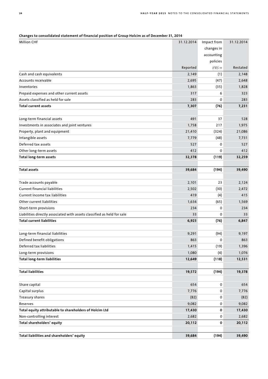| <b>Million CHF</b>                                                      | 31.12.2014 | Impact from | 31.12.2014 |
|-------------------------------------------------------------------------|------------|-------------|------------|
|                                                                         |            | changes in  |            |
|                                                                         |            | accounting  |            |
|                                                                         |            | policies    |            |
|                                                                         | Reported   | IFRS 11     | Restated   |
| Cash and cash equivalents                                               | 2,149      | (1)         | 2,148      |
| Accounts receivable                                                     | 2,695      | (47)        | 2,648      |
| Inventories                                                             | 1,863      | (35)        | 1,828      |
| Prepaid expenses and other current assets                               | 317        | 6           | 323        |
| Assets classified as held for sale                                      | 283        | 0           | 283        |
| Total current assets                                                    | 7,307      | (76)        | 7,231      |
|                                                                         |            |             |            |
| Long-term financial assets                                              | 491        | 37          | 528        |
| Investments in associates and joint ventures                            | 1,758      | 217         | 1,975      |
| Property, plant and equipment                                           | 21,410     | (324)       | 21,086     |
| Intangible assets                                                       | 7,779      | (48)        | 7,731      |
| Deferred tax assets                                                     | 527        | 0           | 527        |
| Other long-term assets                                                  | 412        | $\Omega$    | 412        |
| <b>Total long-term assets</b>                                           | 32,378     | (119)       | 32,259     |
|                                                                         |            |             |            |
| <b>Total assets</b>                                                     | 39,684     | (194)       | 39,490     |
|                                                                         |            |             |            |
| Trade accounts payable                                                  | 2,101      | 23          | 2,124      |
| <b>Current financial liabilities</b>                                    | 2,502      | (30)        | 2,472      |
| Current income tax liabilities                                          | 419        | (4)         | 415        |
| Other current liabilities                                               | 1,634      | (65)        | 1,569      |
| Short-term provisions                                                   | 234        | 0           | 234        |
| Liabilities directly associated with assets classified as held for sale | 33         | 0           | 33         |
| <b>Total current liabilities</b>                                        | 6,923      | (76)        | 6,847      |
|                                                                         |            |             |            |
| Long-term financial liabilities                                         | 9,291      | (94)        | 9,197      |
| Defined benefit obligations                                             | 863        | 0           | 863        |
| Deferred tax liabilities                                                | 1,415      | (19)        | 1,396      |
| Long-term provisions                                                    | 1,080      | (4)         | 1,076      |
| <b>Total long-term liabilities</b>                                      | 12,649     | (118)       | 12,531     |
|                                                                         |            |             |            |
| <b>Total liabilities</b>                                                | 19,572     | (194)       | 19,378     |
| Share capital                                                           | 654        | 0           | 654        |
|                                                                         |            |             |            |
| Capital surplus                                                         | 7,776      | 0           | 7,776      |
| Treasury shares<br>Reserves                                             | (82)       | 0           | (82)       |
|                                                                         | 9,082      | 0           | 9,082      |
| Total equity attributable to shareholders of Holcim Ltd                 | 17,430     | 0           | 17,430     |
| Non-controlling interest                                                | 2,682      | 0           | 2,682      |
| Total shareholders' equity                                              | 20,112     | 0           | 20,112     |
| Total liabilities and shareholders' equity                              | 39,684     | (194)       | 39,490     |
|                                                                         |            |             |            |

## **Changes to consolidated statement of financial position of Group Holcim as of December 31, 2014**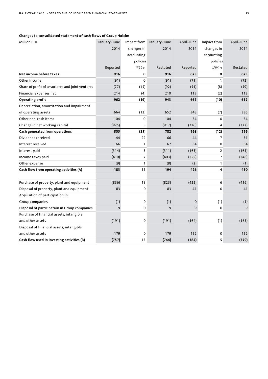## **Changes to consolidated statement of cash flows of Group Holcim**

| <b>Million CHF</b>                               | January-June |              | Impact from January-June | April-June  | Impact from    | April-June |
|--------------------------------------------------|--------------|--------------|--------------------------|-------------|----------------|------------|
|                                                  | 2014         | changes in   | 2014                     | 2014        | changes in     | 2014       |
|                                                  |              | accounting   |                          |             | accounting     |            |
|                                                  |              | policies     |                          |             | policies       |            |
|                                                  | Reported     | IFRS 11      | Restated                 | Reported    | IFRS 11        | Restated   |
| Net income before taxes                          | 916          | 0            | 916                      | 675         | 0              | 675        |
| Other income                                     | (91)         | $\Omega$     | (91)                     | (73)        | $\mathbf{1}$   | (72)       |
| Share of profit of associates and joint ventures | (77)         | (15)         | (92)                     | (51)        | (8)            | (59)       |
| Financial expenses net                           | 214          | (4)          | 210                      | 115         | (2)            | 113        |
| <b>Operating profit</b>                          | 962          | (19)         | 943                      | 667         | (10)           | 657        |
| Depreciation, amortization and impairment        |              |              |                          |             |                |            |
| of operating assets                              | 664          | (12)         | 652                      | 343         | (7)            | 336        |
| Other non-cash items                             | 104          | 0            | 104                      | 34          | $\Omega$       | 34         |
| Change in net working capital                    | (925)        | 8            | (917)                    | (276)       | 4              | (272)      |
| Cash generated from operations                   | 805          | (23)         | 782                      | 768         | (12)           | 756        |
| Dividends received                               | 44           | 22           | 66                       | 44          | $\overline{7}$ | 51         |
| Interest received                                | 66           | $\mathbf{1}$ | 67                       | 34          | 0              | 34         |
| Interest paid                                    | (314)        | 3            | (311)                    | (163)       | $\overline{2}$ | (161)      |
| Income taxes paid                                | (410)        | 7            | (403)                    | (255)       | $\overline{7}$ | (248)      |
| Other expense                                    | (9)          | $\mathbf{1}$ | (8)                      | (2)         | $\mathbf{1}$   | (1)        |
| Cash flow from operating activities (A)          | 183          | 11           | 194                      | 426         | 4              | 430        |
| Purchase of property, plant and equipment        | (836)        | 13           | (823)                    | (422)       | 6              | (416)      |
| Disposal of property, plant and equipment        | 83           | 0            | 83                       | 41          | 0              | 41         |
| Acquisition of participation in                  |              |              |                          |             |                |            |
| Group companies                                  | (1)          | 0            | (1)                      | $\mathbf 0$ | (1)            | (1)        |
| Disposal of participation in Group companies     | 9            | $\mathbf 0$  | 9                        | 9           | $\Omega$       | 9          |
| Purchase of financial assets, intangible         |              |              |                          |             |                |            |
| and other assets                                 | (191)        | 0            | (191)                    | (164)       | (1)            | (165)      |
| Disposal of financial assets, intangible         |              |              |                          |             |                |            |
| and other assets                                 | 179          | $\mathbf 0$  | 179                      | 152         | 0              | 152        |
| Cash flow used in investing activities (B)       | (757)        | 13           | (744)                    | (384)       | 5              | (379)      |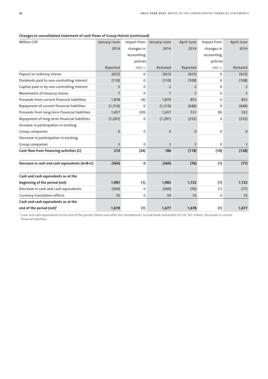| <b>Million CHF</b>                            | January-June   | Impact from | January-June   | April-June              | Impact from | April-June |
|-----------------------------------------------|----------------|-------------|----------------|-------------------------|-------------|------------|
|                                               | 2014           | changes in  | 2014           | 2014                    | changes in  | 2014       |
|                                               |                | accounting  |                |                         | accounting  |            |
|                                               |                | policies    |                |                         | policies    |            |
|                                               | Reported       | IFRS 11     | Restated       | Reported                | IFRS 11     | Restated   |
| Payout on ordinary shares                     | (423)          | 0           | (423)          | (423)                   | $\Omega$    | (423)      |
| Dividends paid to non-controlling interest    | (110)          | 0           | (110)          | (108)                   | 0           | (108)      |
| Capital paid-in by non-controlling interest   | $\overline{2}$ | 0           | $\overline{2}$ | 2                       | $\Omega$    | 2          |
| Movements of treasury shares                  | $\overline{7}$ | 0           | $\overline{7}$ | З                       | 0           | 3          |
| Proceeds from current financial liabilities   | 1,878          | (4)         | 1,874          | 852                     | 0           | 852        |
| Repayment of current financial liabilities    | (1, 314)       | 0           | (1, 314)       | (646)                   | 0           | (646)      |
| Proceeds from long-term financial liabilities | 1,457          | (20)        | 1,437          | 531                     | (9)         | 522        |
| Repayment of long-term financial liabilities  | (1, 291)       | 0           | (1, 291)       | (332)                   | 0           | (332)      |
| Increase in participation in existing         |                |             |                |                         |             |            |
| Group companies                               | $\mathbf 0$    | 0           | 0              | 0                       | 0           | 0          |
| Decrease in participation in existing         |                |             |                |                         |             |            |
| Group companies                               | 3              | 0           | $\overline{3}$ | $\overline{\mathsf{B}}$ | 0           | 3          |
| Cash flow from financing activities (C)       | 210            | (24)        | 186            | (118)                   | (10)        | (128)      |
| Decrease in cash and cash equivalents (A+B+C) | (364)          | 0           | (364)          | (76)                    | (1)         | (77)       |
|                                               |                |             |                |                         |             |            |
| Cash and cash equivalents as at the           |                |             |                |                         |             |            |
| beginning of the period (net)                 | 1,993          | (1)         | 1,992          | 1,723                   | (1)         | 1,722      |
| Decrease in cash and cash equivalents         | (364)          | 0           | (364)          | (76)                    | (1)         | (77)       |
| Currency translation effects                  | 50             | 0           | 50             | 32                      | 0           | 32         |
| Cash and cash equivalents as at the           |                |             |                |                         |             |            |
| end of the period (net) <sup>1</sup>          | 1,678          | (1)         | 1,677          | 1,678                   | (1)         | 1,677      |
|                                               |                |             |                |                         |             |            |

#### **Changes to consolidated statement of cash flows of Group Holcim (continued)**

<sup>1</sup> Cash and cash equivalents at the end of the period, before and after the restatement, include bank overdrafts of CHF 267 million, disclosed in current financial liabilities.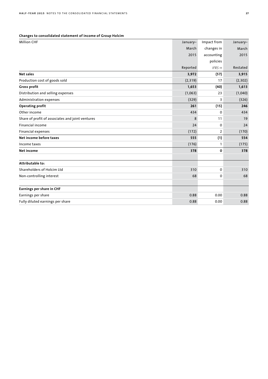## **Changes to consolidated statement of income of Group Holcim**

| <b>Million CHF</b>                               | January- | Impact from    | January- |
|--------------------------------------------------|----------|----------------|----------|
|                                                  | March    | changes in     | March    |
|                                                  | 2015     | accounting     | 2015     |
|                                                  |          | policies       |          |
|                                                  | Reported | IFRS 11        | Restated |
| <b>Net sales</b>                                 | 3,972    | (57)           | 3,915    |
| Production cost of goods sold                    | (2,319)  | 17             | (2,302)  |
| <b>Gross profit</b>                              | 1,653    | (40)           | 1,613    |
| Distribution and selling expenses                | (1,063)  | 23             | (1,040)  |
| Administration expenses                          | (329)    | 3              | (326)    |
| <b>Operating profit</b>                          | 261      | (15)           | 246      |
| Other income                                     | 434      | 0              | 434      |
| Share of profit of associates and joint ventures | 8        | 11             | 19       |
| <b>Financial income</b>                          | 24       | 0              | 24       |
| Financial expenses                               | (172)    | $\overline{2}$ | (170)    |
| Net income before taxes                          | 555      | (1)            | 554      |
| Income taxes                                     | (176)    | $\mathbf{1}$   | (175)    |
| <b>Net income</b>                                | 378      | 0              | 378      |
| Attributable to:                                 |          |                |          |
| Shareholders of Holcim Ltd                       | 310      | 0              | 310      |
| Non-controlling interest                         | 68       | 0              | 68       |
| Earnings per share in CHF                        |          |                |          |
| Earnings per share                               | 0.88     | 0.00           | 0.88     |
| Fully diluted earnings per share                 | 0.88     | 0.00           | 0.88     |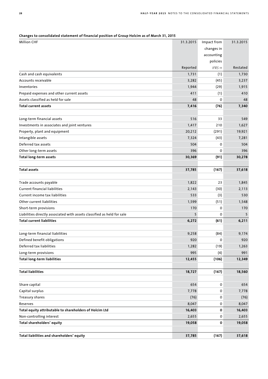| Changes to consolidated statement of financial position of Group Holcim as of March 31, 2015 |  |  |  |
|----------------------------------------------------------------------------------------------|--|--|--|
|----------------------------------------------------------------------------------------------|--|--|--|

| <b>Million CHF</b>                                                      | 31.3.2015 | Impact from | 31.3.2015 |
|-------------------------------------------------------------------------|-----------|-------------|-----------|
|                                                                         |           | changes in  |           |
|                                                                         |           | accounting  |           |
|                                                                         |           | policies    |           |
|                                                                         | Reported  | IFRS 11     | Restated  |
| Cash and cash equivalents                                               | 1,731     | (1)         | 1,730     |
| Accounts receivable                                                     | 3,282     | (45)        | 3,237     |
| Inventories                                                             | 1,944     | (29)        | 1,915     |
| Prepaid expenses and other current assets                               | 411       | (1)         | 410       |
| Assets classified as held for sale                                      | 48        | 0           | 48        |
| <b>Total current assets</b>                                             | 7,416     | (76)        | 7,340     |
|                                                                         |           |             |           |
| Long-term financial assets                                              | 516       | 33          | 549       |
| Investments in associates and joint ventures                            | 1,417     | 210         | 1,627     |
| Property, plant and equipment                                           | 20,212    | (291)       | 19,921    |
| Intangible assets                                                       | 7,324     | (43)        | 7,281     |
| Deferred tax assets                                                     | 504       | $\Omega$    | 504       |
| Other long-term assets                                                  | 396       | 0           | 396       |
| Total long-term assets                                                  | 30,369    | (91)        | 30,278    |
|                                                                         |           |             |           |
| <b>Total assets</b>                                                     | 37,785    | (167)       | 37,618    |
|                                                                         |           |             |           |
| Trade accounts payable                                                  | 1,822     | 23          | 1,845     |
| <b>Current financial liabilities</b>                                    | 2,143     | (30)        | 2,113     |
| Current income tax liabilities                                          | 533       | (3)         | 530       |
| Other current liabilities                                               | 1,599     | (51)        | 1,548     |
| Short-term provisions                                                   | 170       | 0           | 170       |
| Liabilities directly associated with assets classified as held for sale | 5         | $\Omega$    | 5         |
| <b>Total current liabilities</b>                                        | 6,272     | (61)        | 6,211     |
|                                                                         |           |             |           |
| Long-term financial liabilities                                         | 9,258     | (84)        | 9,174     |
| Defined benefit obligations                                             | 920       | 0           | 920       |
| Deferred tax liabilities                                                | 1,282     | (19)        | 1,263     |
| Long-term provisions                                                    | 995       | (4)         | 991       |
| <b>Total long-term liabilities</b>                                      | 12,455    | (106)       | 12,349    |
| <b>Total liabilities</b>                                                | 18,727    | (167)       | 18,560    |
| Share capital                                                           | 654       | 0           | 654       |
| Capital surplus                                                         | 7,778     | 0           | 7,778     |
| Treasury shares                                                         | (76)      | 0           | (76)      |
| Reserves                                                                | 8,047     | 0           | 8,047     |
| Total equity attributable to shareholders of Holcim Ltd                 | 16,403    | 0           | 16,403    |
| Non-controlling interest                                                | 2,655     | 0           | 2,655     |
| Total shareholders' equity                                              | 19,058    | 0           | 19,058    |
|                                                                         |           |             |           |
| Total liabilities and shareholders' equity                              | 37,785    | (167)       | 37,618    |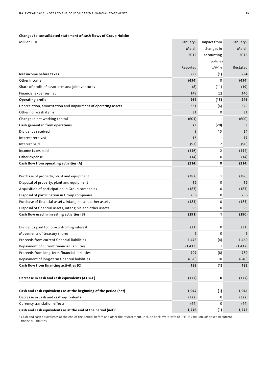## **Changes to consolidated statement of cash flows of Group Holcim**

| <b>Million CHF</b>                                                       | January- | Impact from    | January- |
|--------------------------------------------------------------------------|----------|----------------|----------|
|                                                                          | March    | changes in     | March    |
|                                                                          | 2015     | accounting     | 2015     |
|                                                                          |          | policies       |          |
|                                                                          | Reported | IFRS 11        | Restated |
| Net income before taxes                                                  | 555      | (1)            | 554      |
| Other income                                                             | (434)    | 0              | (434)    |
| Share of profit of associates and joint ventures                         | (8)      | (11)           | (19)     |
| Financial expenses net                                                   | 149      | (2)            | 146      |
| <b>Operating profit</b>                                                  | 261      | (15)           | 246      |
| Depreciation, amortization and impairment of operating assets            | 331      | (6)            | 325      |
| Other non-cash items                                                     | 31       | 0              | 31       |
| Change in net working capital                                            | (601)    | $\mathbf{1}$   | (600)    |
| Cash generated from operations                                           | 23       | (20)           | 3        |
| Dividends received                                                       | 9        | 15             | 24       |
| Interest received                                                        | 16       | $\mathbf{1}$   | 17       |
| Interest paid                                                            | (92)     | 2              | (90)     |
| Income taxes paid                                                        | (156)    | $\overline{2}$ | (154)    |
| Other expense                                                            | (14)     | 0              | (14)     |
| Cash flow from operating activities (A)                                  | (214)    | 0              | (214)    |
|                                                                          |          |                |          |
| Purchase of property, plant and equipment                                | (287)    | $\mathbf{1}$   | (286)    |
| Disposal of property, plant and equipment                                | 16       | 0              | 16       |
| Acquisition of participation in Group companies                          | (187)    | 0              | (187)    |
| Disposal of participation in Group companies                             | 256      | 0              | 256      |
| Purchase of financial assets, intangible and other assets                | (183)    | 0              | (183)    |
| Disposal of financial assets, intangible and other assets                | 93       | 0              | 93       |
| Cash flow used in investing activities (B)                               | (291)    | 1              | (290)    |
|                                                                          |          |                |          |
| Dividends paid to non-controlling interest                               | (31)     | 0              | (31)     |
| Movements of treasury shares                                             | 6        | 0              | 6        |
| Proceeds from current financial liabilities                              | 1,473    | (4)            | 1,469    |
| Repayment of current financial liabilities                               | (1, 413) | 1              | (1, 412) |
| Proceeds from long-term financial liabilities                            | 797      | (8)            | 789      |
| Repayment of long-term financial liabilities                             | (650)    | 10             | (640)    |
| Cash flow from financing activities (C)                                  | 183      | (1)            | 182      |
| Decrease in cash and cash equivalents (A+B+C)                            | (322)    | 0              | (322)    |
| Cash and cash equivalents as at the beginning of the period (net)        | 1,942    | (1)            | 1,941    |
| Decrease in cash and cash equivalents                                    | (322)    | 0              | (322)    |
| Currency translation effects                                             | (44)     | 0              | (44)     |
| Cash and cash equivalents as at the end of the period (net) <sup>1</sup> | 1,576    | (1)            | 1,575    |

<sup>1</sup> Cash and cash equivalents at the end of the period, before and after the restatement, include bank overdrafts of CHF 155 million, disclosed in current financial liabilities.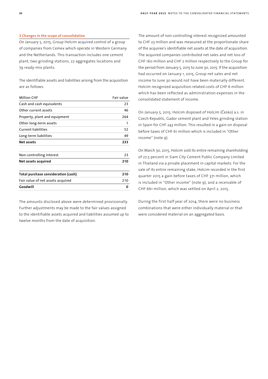#### **3 Changes in the scope of consolidation**

On January 5, 2015, Group Holcim acquired control of a group of companies from Cemex which operate in Western Germany and the Netherlands. This transaction includes one cement plant, two grinding stations, 22 aggregates locations and 79 ready-mix plants.

The identifiable assets and liabilities arising from the acquisition are as follows:

| <b>Million CHF</b>                  | Fair value |
|-------------------------------------|------------|
| Cash and cash equivalents           | 23         |
| Other current assets                | 46         |
| Property, plant and equipment       | 264        |
| Other long-term assets              | 1          |
| <b>Current liabilities</b>          | 52         |
| Long-term liabilities               | 49         |
| Net assets                          | 233        |
| Non-controlling interest            | 23         |
| Net assets acquired                 | 210        |
| Total purchase consideration (cash) | 210        |
| Fair value of net assets acquired   | 210        |
| Goodwill                            | 0          |
|                                     |            |

The amounts disclosed above were determined provisionally. Further adjustments may be made to the fair values assigned to the identifiable assets acquired and liabilities assumed up to twelve months from the date of acquisition.

The amount of non-controlling interest recognized amounted to CHF 23 million and was measured at the proportionate share of the acquiree's identifiable net assets at the date of acquisition. The acquired companies contributed net sales and net loss of CHF 160 million and CHF 2 million respectively to the Group for the period from January 5, 2015 to June 30, 2015. If the acquisition had occurred on January 1, 2015, Group net sales and net income to June 30 would not have been materially different. Holcim recognized acquisition-related costs of CHF 6 million which has been reflected as administration expenses in the consolidated statement of income.

On January 5, 2015, Holcim disposed of Holcim (Česko) a.s. in Czech Republic, Gador cement plant and Yeles grinding station in Spain for CHF 243 million. This resulted in a gain on disposal before taxes of CHF 61 million which is included in "Other income" (note 9).

On March 30, 2015, Holcim sold its entire remaining shareholding of 27.5 percent in Siam City Cement Public Company Limited in Thailand via a private placement in capital markets. For the sale of its entire remaining stake, Holcim recorded in the first quarter 2015 a gain before taxes of CHF 371 million, which is included in "Other income" (note 9), and a receivable of CHF 661 million, which was settled on April 2, 2015.

During the first half year of 2014, there were no business combinations that were either individually material or that were considered material on an aggregated basis.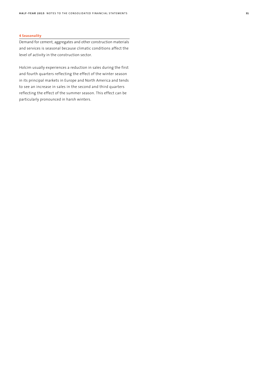#### **4 Seasonality**

Demand for cement, aggregates and other construction materials and services is seasonal because climatic conditions affect the level of activity in the construction sector.

Holcim usually experiences a reduction in sales during the first and fourth quarters reflecting the effect of the winter season in its principal markets in Europe and North America and tends to see an increase in sales in the second and third quarters reflecting the effect of the summer season. This effect can be particularly pronounced in harsh winters.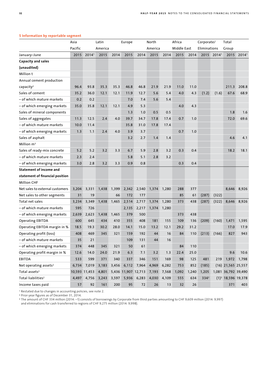|                                   | Asia    |                   | Latin   |       | Europe              |             | North   |       | Africa      |       | Corporate/   |           | Total                |                   |
|-----------------------------------|---------|-------------------|---------|-------|---------------------|-------------|---------|-------|-------------|-------|--------------|-----------|----------------------|-------------------|
|                                   | Pacific |                   | America |       |                     |             | America |       | Middle East |       | Eliminations |           | Group                |                   |
| January–June                      | 2015    | 2014 <sup>1</sup> | 2015    | 2014  | 2015                | 2014        | 2015    | 2014  | 2015        | 2014  |              | 2015 2014 | 2015                 | 2014 <sup>1</sup> |
| <b>Capacity and sales</b>         |         |                   |         |       |                     |             |         |       |             |       |              |           |                      |                   |
| (unaudited)                       |         |                   |         |       |                     |             |         |       |             |       |              |           |                      |                   |
| Million t                         |         |                   |         |       |                     |             |         |       |             |       |              |           |                      |                   |
| Annual cement production          |         |                   |         |       |                     |             |         |       |             |       |              |           |                      |                   |
| capacity <sup>2</sup>             | 96.4    | 93.8              | 35.3    | 35.3  | 46.8                | 46.8        | 21.9    | 21.9  | 11.0        | 11.0  |              |           | 211.3                | 208.8             |
| Sales of cement                   | 35.2    | 36.0              | 12.1    | 12.1  | 11.9                | 12.7        | 5.6     | 5.4   | 4.0         | 4.3   | (1.2)        | (1.6)     | 67.6                 | 68.9              |
| – of which mature markets         | 0.2     | 0.2               |         |       | 7.0                 | 7.4         | 5.6     | 5.4   |             |       |              |           |                      |                   |
| – of which emerging markets       | 35.0    | 35.8              | 12.1    | 12.1  | 4.9                 | 5.3         |         |       | 4.0         | 4.3   |              |           |                      |                   |
| Sales of mineral components       |         |                   |         |       | 1.3                 | 1.0         | 0.5     | 0.5   |             |       |              |           | 1.8                  | 1.6               |
| Sales of aggregates               | 11.3    | 12.5              | 2.4     | 4.0   | 39.7                | 34.7        | 17.8    | 17.4  | 0.7         | 1.0   |              |           | 72.0                 | 69.6              |
| – of which mature markets         | 10.0    | 11.4              |         |       | 35.8                | 31.0        | 17.8    | 17.4  |             |       |              |           |                      |                   |
| - of which emerging markets       | 1.3     | 1.1               | 2.4     | 4.0   | 3.9                 | 3.7         |         |       | 0.7         | 1.0   |              |           |                      |                   |
| Sales of asphalt                  |         |                   |         |       | 3.2                 | 2.7         | 1.4     | 1.4   |             |       |              |           | 4.6                  | 4.1               |
| Million m <sup>3</sup>            |         |                   |         |       |                     |             |         |       |             |       |              |           |                      |                   |
| Sales of ready-mix concrete       | 5.2     | 5.2               | 3.2     | 3.3   | 6.7                 | 5.9         | 2.8     | 3.2   | 0.3         | 0.4   |              |           | 18.2                 | 18.1              |
| – of which mature markets         | 2.3     | 2.4               |         |       | 5.8                 | 5.1         | 2.8     | 3.2   |             |       |              |           |                      |                   |
| – of which emerging markets       | 3.0     | 2.8               | 3.2     | 3.3   | 0.9                 | 0.8         |         |       | 0.3         | 0.4   |              |           |                      |                   |
| <b>Statement of income and</b>    |         |                   |         |       |                     |             |         |       |             |       |              |           |                      |                   |
| statement of financial position   |         |                   |         |       |                     |             |         |       |             |       |              |           |                      |                   |
| <b>Million CHF</b>                |         |                   |         |       |                     |             |         |       |             |       |              |           |                      |                   |
| Net sales to external customers   | 3,204   | 3,331             | 1,438   | 1,399 | 2,342               | 2,540       | 1,374   | 1,280 | 288         | 377   |              |           | 8,646                | 8,926             |
| Net sales to other segments       | 31      | 19                |         | 66    | 172                 | 177         |         |       | 85          | 61    | (287)        | (322)     |                      |                   |
| Total net sales                   | 3,234   | 3,349             | 1,438   | 1,465 | 2,514               | 2,717       | 1,374   | 1,280 | 373         | 438   | (287)        | (322)     | 8,646                | 8,926             |
| – of which mature markets         | 595     | 726               |         |       | 2,135               | 2,217       | 1,374   | 1,280 |             |       |              |           |                      |                   |
| - of which emerging markets       | 2,639   | 2,623             | 1,438   | 1,465 | 379                 | 500         |         |       | 373         | 438   |              |           |                      |                   |
| <b>Operating EBITDA</b>           | 600     | 645               | 434     | 410   | 355                 | 408         | 181     | 155   | 109         | 136   | (209)        | (160)     | 1,471                | 1,595             |
| Operating EBITDA margin in %      | 18.5    | 19.3              | 30.2    | 28.0  | 14.1                | 15.0        | 13.2    | 12.1  | 29.2        | 31.2  |              |           | 17.0                 | 17.9              |
| Operating profit (loss)           | 408     | 469               | 345     | 321   | 159                 | 192         | 44      | 16    | 84          | 110   | (213)        | (166)     | 827                  | 943               |
| – of which mature markets         | $35\,$  | 21                |         |       | 109                 | 131         | 44      | 16    |             |       |              |           |                      |                   |
| - of which emerging markets       | 374     | 448               | 345     | 321   | 50                  | 61          |         |       | 84          | 110   |              |           |                      |                   |
| Operating profit margin in %      | 12.6    | 14.0              | 24.0    | 21.9  | 6.3                 | 7.1         | 3.2     | 1.3   | 22.4        | 25.0  |              |           | 9.6                  | 10.6              |
| EBITDA                            | 533     | 599               | 371     | 340   | 337                 | 346         | 151     | 169   | 98          | 125   | 481          | 219       |                      | 1,972 1,798       |
| Net operating assets <sup>2</sup> | 6,734   | 7,019             | 3,183   | 3,456 |                     | 6,112 7,964 | 4,969   | 6,282 | 753         | 852   | (185)        |           | $(16)$ 21,565 25,557 |                   |
| Total assets <sup>2</sup>         |         | 10,593 11,453     | 4,801   |       | 5,436 11,907 12,713 |             | 7,193   | 7,568 | 1,092       | 1,240 | 1,205        |           | 1,081 36,792 39,490  |                   |
| Total liabilities <sup>2</sup>    | 4,497   | 4,756             | 3,243   | 3,597 | 5,936               | 6,283       | 4,030   | 4,109 | 555         | 634   | $334^{3}$    |           | $(1)3$ 18,596 19,378 |                   |
| Income taxes paid                 | 57      | 92                | 161     | 200   | 95                  | 72          | 26      | 13    | 32          | 26    |              |           | 371                  | 403               |

#### **5 Information by reportable segment**

<sup>1</sup> Restated due to changes in accounting policies, see note 2.

<sup>2</sup> Prior-year figures as of December 31, 2014.

<sup>3</sup> The amount of CHF 334 million (2014: –1) consists of borrowings by Corporate from third parties amounting to CHF 9,609 million (2014: 9,997)

and eliminations for cash transferred to regions of CHF 9,275 million (2014: 9,998).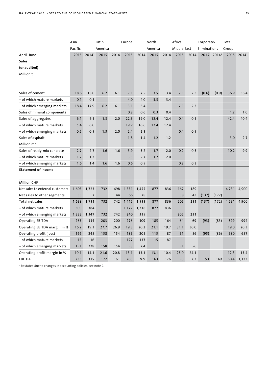|                                 | Asia    |                | Latin   |      | Europe |       | North   |      | Africa      |      | Corporate/   |                        | Total |                   |
|---------------------------------|---------|----------------|---------|------|--------|-------|---------|------|-------------|------|--------------|------------------------|-------|-------------------|
|                                 | Pacific |                | America |      |        |       | America |      | Middle East |      | Eliminations |                        | Group |                   |
| April-June                      | 2015    | 20141          | 2015    | 2014 | 2015   | 2014  | 2015    | 2014 | 2015        | 2014 |              | 2015 2014 <sup>1</sup> | 2015  | 2014 <sup>1</sup> |
| <b>Sales</b>                    |         |                |         |      |        |       |         |      |             |      |              |                        |       |                   |
| (unaudited)                     |         |                |         |      |        |       |         |      |             |      |              |                        |       |                   |
| Million t                       |         |                |         |      |        |       |         |      |             |      |              |                        |       |                   |
|                                 |         |                |         |      |        |       |         |      |             |      |              |                        |       |                   |
|                                 |         |                |         |      |        |       |         |      |             |      |              |                        |       |                   |
| Sales of cement                 | 18.6    | 18.0           | 6.2     | 6.1  | 7.1    | 7.5   | 3.5     | 3.4  | 2.1         | 2.3  | (0.6)        | (0.9)                  | 36.9  | 36.4              |
| – of which mature markets       | 0.1     | 0.1            |         |      | 4.0    | 4.0   | 3.5     | 3.4  |             |      |              |                        |       |                   |
| – of which emerging markets     | 18.4    | 17.9           | 6.2     | 6.1  | 3.1    | 3.4   |         |      | 2.1         | 2.3  |              |                        |       |                   |
| Sales of mineral components     |         |                |         |      | 0.8    | 0.6   | 0.3     | 0.4  |             |      |              |                        | 1.2   | 1.0               |
| Sales of aggregates             | 6.1     | 6.5            | 1.3     | 2.0  | 22.3   | 19.0  | 12.4    | 12.4 | 0.4         | 0.5  |              |                        | 42.4  | 40.4              |
| – of which mature markets       | 5.4     | 6.0            |         |      | 19.9   | 16.6  | 12.4    | 12.4 |             |      |              |                        |       |                   |
| – of which emerging markets     | 0.7     | 0.5            | 1.3     | 2.0  | 2.4    | 2.3   |         |      | 0.4         | 0.5  |              |                        |       |                   |
| Sales of asphalt                |         |                |         |      | 1.8    | 1.4   | 1.2     | 1.2  |             |      |              |                        | 3.0   | 2.7               |
| Million $m3$                    |         |                |         |      |        |       |         |      |             |      |              |                        |       |                   |
| Sales of ready-mix concrete     | 2.7     | 2.7            | 1.6     | 1.6  | 3.9    | 3.2   | 1.7     | 2.0  | 0.2         | 0.3  |              |                        | 10.2  | 9.9               |
| – of which mature markets       | 1.2     | 1.3            |         |      | 3.3    | 2.7   | 1.7     | 2.0  |             |      |              |                        |       |                   |
| – of which emerging markets     | 1.6     | 1.4            | 1.6     | 1.6  | 0.6    | 0.5   |         |      | 0.2         | 0.3  |              |                        |       |                   |
| <b>Statement of income</b>      |         |                |         |      |        |       |         |      |             |      |              |                        |       |                   |
|                                 |         |                |         |      |        |       |         |      |             |      |              |                        |       |                   |
| <b>Million CHF</b>              |         |                |         |      |        |       |         |      |             |      |              |                        |       |                   |
| Net sales to external customers | 1,605   | 1,723          | 732     | 698  | 1,351  | 1,455 | 877     | 836  | 167         | 189  |              |                        | 4,731 | 4,900             |
| Net sales to other segments     | 33      | $\overline{7}$ |         | 44   | 66     | 78    |         |      | 38          | 43   | (137)        | (172)                  |       |                   |
| Total net sales                 | 1,638   | 1,731          | 732     | 742  | 1,417  | 1,533 | 877     | 836  | 205         | 231  | (137)        | (172)                  | 4,731 | 4,900             |
| – of which mature markets       | 305     | 384            |         |      | 1,177  | 1,218 | 877     | 836  |             |      |              |                        |       |                   |
| – of which emerging markets     | 1,333   | 1,347          | 732     | 742  | 240    | 315   |         |      | 205         | 231  |              |                        |       |                   |
| <b>Operating EBITDA</b>         | 265     | 334            | 203     | 200  | 276    | 309   | 185     | 164  | 64          | 69   | (93)         | (83)                   | 899   | 994               |
| Operating EBITDA margin in %    | 16.2    | 19.3           | 27.7    | 26.9 | 19.5   | 20.2  | 21.1    | 19.7 | 31.1        | 30.0 |              |                        | 19.0  | 20.3              |
| Operating profit (loss)         | 166     | 245            | 158     | 154  | 185    | 201   | 115     | 87   | 51          | 56   | (95)         | (86)                   | 580   | 657               |
| – of which mature markets       | 15      | 16             |         |      | 127    | 137   | 115     | 87   |             |      |              |                        |       |                   |
| – of which emerging markets     | 151     | 228            | 158     | 154  | 58     | 64    |         |      | 51          | 56   |              |                        |       |                   |
| Operating profit margin in %    | 10.1    | 14.1           | 21.6    | 20.8 | 13.1   | 13.1  | 13.1    | 10.4 | 25.0        | 24.1 |              |                        | 12.3  | 13.4              |
| <b>EBITDA</b>                   | 233     | 315            | 172     | 161  | 266    | 269   | 163     | 176  | 58          | 63   | 53           | 149                    | 944   | 1,133             |

<sup>1</sup> Restated due to changes in accounting policies, see note 2.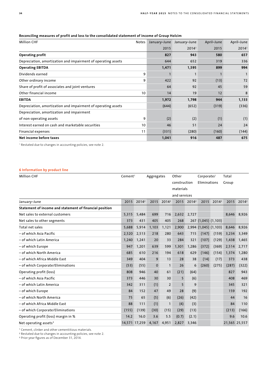| <b>Million CHF</b>                                            | Notes | January-June | January-June | April-June | April-June |
|---------------------------------------------------------------|-------|--------------|--------------|------------|------------|
|                                                               |       | 2015         | 20141        | 2015       | 20141      |
| Operating profit                                              |       | 827          | 943          | 580        | 657        |
| Depreciation, amortization and impairment of operating assets |       | 644          | 652          | 319        | 336        |
| <b>Operating EBITDA</b>                                       |       | 1,471        | 1,595        | 899        | 994        |
| Dividends earned                                              | 9     |              |              |            |            |
| Other ordinary income                                         | 9     | 422          | 92           | (13)       | 72         |
| Share of profit of associates and joint ventures              |       | 64           | 92           | 45         | 59         |
| Other financial income                                        | 10    | 14           | 19           | 12         | 8          |
| <b>EBITDA</b>                                                 |       | 1,972        | 1,798        | 944        | 1,133      |
| Depreciation, amortization and impairment of operating assets |       | (644)        | (652)        | (319)      | (336)      |
| Depreciation, amortization and impairment                     |       |              |              |            |            |
| of non-operating assets                                       | 9     | (2)          | (2)          | (1)        | (1)        |
| Interest earned on cash and marketable securities             | 10    | 46           | 51           | 24         | 24         |
| Financial expenses                                            | 11    | (331)        | (280)        | (160)      | (144)      |
| Net income before taxes                                       |       | 1,041        | 916          | 487        | 675        |

## **Reconciling measures of profit and loss to the consolidated statement of income of Group Holcim**

<sup>1</sup> Restated due to changes in accounting policies, see note 2.

## **6 Information by product line**

| <b>Million CHF</b>                                      | Cement <sup>1</sup> |                   | Aggregates  |                   | Other        |                        | Corporate/            |                   | Total         |                        |
|---------------------------------------------------------|---------------------|-------------------|-------------|-------------------|--------------|------------------------|-----------------------|-------------------|---------------|------------------------|
|                                                         |                     |                   |             |                   | construction |                        | Eliminations          |                   | Group         |                        |
|                                                         |                     |                   |             |                   | materials    |                        |                       |                   |               |                        |
|                                                         |                     |                   |             |                   | and services |                        |                       |                   |               |                        |
| January-June                                            | 2015                | 2014 <sup>2</sup> | 2015        | 2014 <sup>2</sup> |              | 2015 2014 <sup>2</sup> | 2015                  | 2014 <sup>2</sup> |               | 2015 2014 <sup>2</sup> |
| Statement of income and statement of financial position |                     |                   |             |                   |              |                        |                       |                   |               |                        |
| Net sales to external customers                         | 5,315               | 5,484             | 699         | 716               | 2,632        | 2,727                  |                       |                   | 8,646         | 8,926                  |
| Net sales to other segments                             | 373                 | 431               | 405         | 405               | 268          |                        | 267 (1,045) (1,103)   |                   |               |                        |
| Total net sales                                         | 5,688               | 5,914             | 1,103       | 1,121             | 2,900        |                        | 2,994 (1,045) (1,103) |                   | 8,646         | 8,926                  |
| – of which Asia Pacific                                 | 2,520               | 2,513             | 218         | 280               | 643          | 715                    | (147)                 | (159)             | 3,234         | 3,349                  |
| - of which Latin America                                | 1,240               | 1,241             | 20          | 33                | 284          | 321                    | (107)                 | (129)             | 1,438         | 1,465                  |
| – of which Europe                                       | 947                 | 1,201             | 639         | 599               | 1,301        | 1,286                  | (372)                 | (369)             | 2,514         | 2,717                  |
| – of which North America                                | 685                 | 610               | 216         | 194               | 618          | 629                    | (146)                 | (154)             | 1,374         | 1,280                  |
| - of which Africa Middle East                           | 349                 | 404               | 9           | 13                | 28           | 38                     | (14)                  | (17)              | 373           | 438                    |
| - of which Corporate/Eliminations                       | (53)                | (55)              | $\mathbf 0$ | $\mathbf{1}$      | 26           | 6                      | (260)                 | (275)             | (287)         | (322)                  |
| Operating profit (loss)                                 | 808                 | 946               | 40          | 61                | (21)         | (64)                   |                       |                   | 827           | 943                    |
| – of which Asia Pacific                                 | 373                 | 446               | 30          | 30                | 5            | (6)                    |                       |                   | 408           | 469                    |
| – of which Latin America                                | 342                 | 311               | (1)         | $\overline{2}$    | 5            | 9                      |                       |                   | 345           | 321                    |
| - of which Europe                                       | 84                  | 152               | 47          | 49                | 28           | (9)                    |                       |                   | 159           | 192                    |
| – of which North America                                | 75                  | 65                | (5)         | (6)               | (26)         | (42)                   |                       |                   | 44            | 16                     |
| – of which Africa Middle East                           | 88                  | 111               | (1)         | $\mathbf{1}$      | (4)          | (3)                    |                       |                   | 84            | 110                    |
| - of which Corporate/Eliminations                       | (155)               | (139)             | (30)        | (15)              | (29)         | (13)                   |                       |                   | (213)         | (166)                  |
| Operating profit (loss) margin in %                     | 14.2                | 16.0              | 3.6         | 5.5               | (0.7)        | (2.1)                  |                       |                   | 9.6           | 10.6                   |
| Net operating assets <sup>3</sup>                       |                     | 14,571 17,259     | 4,167       | 4,951             | 2,827        | 3,346                  |                       |                   | 21,565 25,557 |                        |

<sup>1</sup> Cement, clinker and other cementitious materials.

<sup>2</sup> Restated due to changes in accounting policies, see note 2.

<sup>3</sup> Prior-year figures as of December 31, 2014.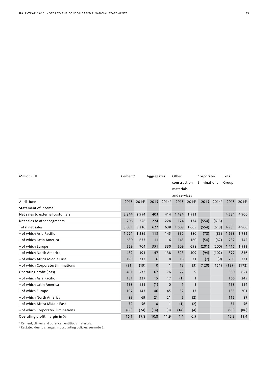| <b>Million CHF</b>                |       | Cement <sup>1</sup><br>Aggregates |                | Other             |              | Corporate/             |              | Total             |       |                   |
|-----------------------------------|-------|-----------------------------------|----------------|-------------------|--------------|------------------------|--------------|-------------------|-------|-------------------|
|                                   |       |                                   |                |                   | construction |                        | Eliminations |                   | Group |                   |
|                                   |       |                                   |                |                   | materials    |                        |              |                   |       |                   |
|                                   |       |                                   |                |                   | and services |                        |              |                   |       |                   |
| April-June                        | 2015  | 2014 <sup>2</sup>                 | 2015           | 2014 <sup>2</sup> |              | 2015 2014 <sup>2</sup> | 2015         | 2014 <sup>2</sup> | 2015  | 2014 <sup>2</sup> |
| <b>Statement of income</b>        |       |                                   |                |                   |              |                        |              |                   |       |                   |
| Net sales to external customers   | 2.844 | 2,954                             | 403            | 414               | 1,484        | 1,531                  |              |                   | 4,731 | 4,900             |
| Net sales to other segments       | 206   | 256                               | 224            | 224               | 124          | 134                    | (554)        | (613)             |       |                   |
| Total net sales                   | 3,051 | 3,210                             | 627            | 638               | 1,608        | 1,665                  | (554)        | (613)             | 4,731 | 4,900             |
| - of which Asia Pacific           | 1,271 | 1,289                             | 113            | 145               | 332          | 380                    | (78)         | (83)              | 1,638 | 1,731             |
| - of which Latin America          | 630   | 633                               | 11             | 16                | 145          | 160                    | (54)         | (67)              | 732   | 742               |
| - of which Europe                 | 559   | 704                               | 351            | 330               | 709          | 698                    | (201)        | (200)             | 1,417 | 1,533             |
| - of which North America          | 432   | 391                               | 147            | 138               | 393          | 409                    | (94)         | (102)             | 877   | 836               |
| - of which Africa Middle East     | 190   | 212                               | 6              | 8                 | 16           | 21                     | (7)          | (9)               | 205   | 231               |
| - of which Corporate/Eliminations | (31)  | (19)                              | $\mathbf 0$    | $\mathbf{1}$      | 13           | (3)                    | (120)        | (151)             | (137) | (172)             |
| Operating profit (loss)           | 491   | 572                               | 67             | 76                | 22           | 9                      |              |                   | 580   | 657               |
| - of which Asia Pacific           | 151   | 227                               | 15             | 17                | (1)          | $\mathbf{1}$           |              |                   | 166   | 245               |
| - of which Latin America          | 158   | 151                               | (1)            | $\mathbf 0$       | $\mathbf{1}$ | 3                      |              |                   | 158   | 154               |
| - of which Europe                 | 107   | 143                               | 46             | 45                | 32           | 13                     |              |                   | 185   | 201               |
| - of which North America          | 89    | 69                                | 21             | 21                | 5            | (2)                    |              |                   | 115   | 87                |
| – of which Africa Middle East     | 52    | 56                                | $\overline{0}$ | $\mathbf{1}$      | (1)          | (2)                    |              |                   | 51    | 56                |
| - of which Corporate/Eliminations | (66)  | (74)                              | (14)           | (8)               | (14)         | (4)                    |              |                   | (95)  | (86)              |
| Operating profit margin in %      | 16.1  | 17.8                              | 10.8           | 11.9              | 1.4          | 0.5                    |              |                   | 12.3  | 13.4              |

<sup>1</sup> Cement, clinker and other cementitious materials.

<sup>2</sup> Restated due to changes in accounting policies, see note 2.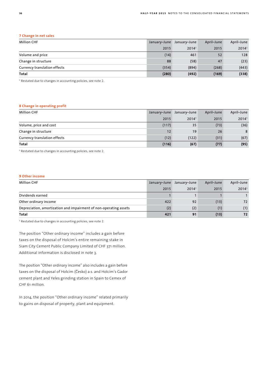#### **7 Change in net sales**

| <b>Million CHF</b>           | January-June | January-June | April-June | April-June |
|------------------------------|--------------|--------------|------------|------------|
|                              | 2015         | 20141        | 2015       | 20141      |
| Volume and price             | (14)         | 461          | 52         | 128        |
| Change in structure          | 88           | (58)         | 47         | (23)       |
| Currency translation effects | (354)        | (894)        | (268)      | (443)      |
| Total                        | (280)        | (492)        | (169)      | (338)      |

<sup>1</sup> Restated due to changes in accounting policies, see note 2.

#### **8 Change in operating profit**

| <b>Million CHF</b>           | January-June | January-June | April-June | April-June |
|------------------------------|--------------|--------------|------------|------------|
|                              | 2015         | 20141        | 2015       | 20141      |
| Volume, price and cost       | (117)        | 35           | (73)       | (36)       |
| Change in structure          | 12           | 19           | 26         | 8          |
| Currency translation effects | (12)         | (122)        | (31)       | (67)       |
| <b>Total</b>                 | (116)        | (67)         | (77)       | (95)       |

<sup>1</sup> Restated due to changes in accounting policies, see note 2.

#### **9 Other income**

| <b>Million CHF</b>                                                | January-June | January-June | April-June | April-June        |
|-------------------------------------------------------------------|--------------|--------------|------------|-------------------|
|                                                                   | 2015         | 20141        | 2015       | 2014 <sup>1</sup> |
| Dividends earned                                                  |              |              |            |                   |
| Other ordinary income                                             | 422          | 92           | (13)       | 72                |
| Depreciation, amortization and impairment of non-operating assets | (2)          | (2)          | (1)        | (1)               |
| Total                                                             | 421          | 91           | (13)       | 72                |

<sup>1</sup> Restated due to changes in accounting policies, see note 2.

The position "Other ordinary income" includes a gain before taxes on the disposal of Holcim's entire remaining stake in Siam City Cement Public Company Limited of CHF 371 million. Additional information is disclosed in note 3.

The position "Other ordinary income" also includes a gain before taxes on the disposal of Holcim (Česko) a.s. and Holcim's Gador cement plant and Yeles grinding station in Spain to Cemex of CHF 61 million.

In 2014, the position "Other ordinary income" related primarily to gains on disposal of property, plant and equipment.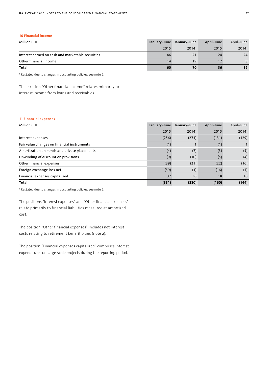#### **10 Financial income**

| <b>Million CHF</b>                                | January-June | January-June      | April-June | April-June        |
|---------------------------------------------------|--------------|-------------------|------------|-------------------|
|                                                   | 2015         | 2014 <sup>1</sup> | 2015       | 2014 <sup>1</sup> |
| Interest earned on cash and marketable securities | 46           |                   | 24         | 24                |
| Other financial income                            | 14           | 19                | 12         | 8                 |
| Total                                             | 60           | 70                | 36         | 32 <sub>2</sub>   |

<sup>1</sup> Restated due to changes in accounting policies, see note 2.

The position "Other financial income" relates primarily to interest income from loans and receivables.

#### **11 Financial expenses**

| <b>Million CHF</b>                           | January-June | January-June      | April-June | April-June        |
|----------------------------------------------|--------------|-------------------|------------|-------------------|
|                                              | 2015         | 2014 <sup>1</sup> | 2015       | 2014 <sup>1</sup> |
| Interest expenses                            | (256)        | (271)             | (131)      | (129)             |
| Fair value changes on financial instruments  | (1)          |                   | (1)        |                   |
| Amortization on bonds and private placements | (4)          | (7)               | (3)        | (5)               |
| Unwinding of discount on provisions          | (9)          | (10)              | (5)        | (4)               |
| Other financial expenses                     | (39)         | (23)              | (22)       | (16)              |
| Foreign exchange loss net                    | (59)         | (1)               | (16)       | (7)               |
| Financial expenses capitalized               | 37           | 30                | 18         | 16                |
| Total                                        | (331)        | (280)             | (160)      | (144)             |

<sup>1</sup> Restated due to changes in accounting policies, see note 2.

The positions "Interest expenses" and "Other financial expenses" relate primarily to financial liabilities measured at amortized cost.

The position "Other financial expenses" includes net interest costs relating to retirement benefit plans (note 2).

The position "Financial expenses capitalized" comprises interest expenditures on large-scale projects during the reporting period.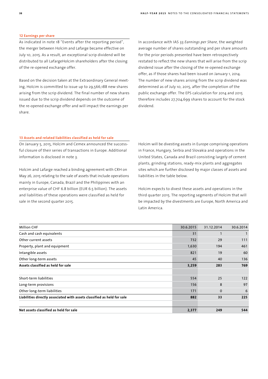#### **12 Earnings per share**

As indicated in note 18 "Events after the reporting period", the merger between Holcim and Lafarge became effective on July 10, 2015. As a result, an exceptional scrip dividend will be distributed to all LafargeHolcim shareholders after the closing of the re-opened exchange offer.

Based on the decision taken at the Extraordinary General meeting, Holcim is committed to issue up to 29,566,188 new shares arising from the scrip dividend. The final number of new shares issued due to the scrip dividend depends on the outcome of the re-opened exchange offer and will impact the earnings per share.

In accordance with IAS 33 *Earnings per Share*, the weighted average number of shares outstanding and per share amounts for the prior periods presented have been retrospectively restated to reflect the new shares that will arise from the scrip dividend issue after the closing of the re-opened exchange offer, as if those shares had been issued on January 1, 2014. The number of new shares arising from the scrip dividend was determined as of July 10, 2015, after the completion of the public exchange offer. The EPS calculation for 2014 and 2015 therefore includes 27,704,699 shares to account for the stock dividend.

#### **13 Assets and related liabilities classified as held for sale**

On January 5, 2015, Holcim and Cemex announced the successful closure of their series of transactions in Europe. Additional information is disclosed in note 3.

Holcim and Lafarge reached a binding agreement with CRH on May 26, 2015 relating to the sale of assets that include operations mainly in Europe, Canada, Brazil and the Philippines with an enterprise value of CHF 6.8 billion (EUR 6.5 billion). The assets and liabilities of these operations were classified as held for sale in the second quarter 2015.

Holcim will be divesting assets in Europe comprising operations in France, Hungary, Serbia and Slovakia and operations in the United States, Canada and Brazil consisting largely of cement plants, grinding stations, ready-mix plants and aggregates sites which are further disclosed by major classes of assets and liabilities in the table below.

Holcim expects to divest these assets and operations in the third quarter 2015. The reporting segments of Holcim that will be impacted by the divestments are Europe, North America and Latin America.

| <b>Million CHF</b>                                                      | 30.6.2015 | 31.12.2014   | 30.6.2014 |
|-------------------------------------------------------------------------|-----------|--------------|-----------|
| Cash and cash equivalents                                               | 31        | $\mathbf{1}$ |           |
| Other current assets                                                    | 732       | 29           | 111       |
| Property, plant and equipment                                           | 1,630     | 194          | 461       |
| Intangible assets                                                       | 821       | 19           | 60        |
| Other long-term assets                                                  | 45        | 40           | 136       |
| Assets classified as held for sale                                      | 3,259     | 283          | 769       |
|                                                                         |           |              |           |
| Short-term liabilities                                                  | 554       | 25           | 122       |
| Long-term provisions                                                    | 156       | 8            | 97        |
| Other long-term liabilities                                             | 171       | $\mathbf 0$  | 6         |
| Liabilities directly associated with assets classified as held for sale | 882       | 33           | 225       |
|                                                                         |           |              |           |
| Net assets classified as held for sale                                  | 2,377     | 249          | 544       |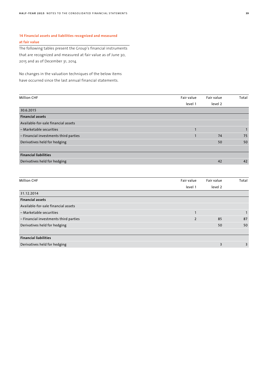## **14 Financial assets and liabilities recognized and measured at fair value**

The following tables present the Group's financial instruments that are recognized and measured at fair value as of June 30, 2015 and as of December 31, 2014.

No changes in the valuation techniques of the below items have occurred since the last annual financial statements.

| Fair value | Fair value | Total |
|------------|------------|-------|
| level 1    | level 2    |       |
|            |            |       |
|            |            |       |
|            |            |       |
|            |            |       |
|            | 74         | 75    |
|            | 50         | 50    |
|            |            |       |
|            |            |       |
|            | 42         | 42    |
|            |            |       |

| <b>Million CHF</b>                    | Fair value     | Fair value     | Total |
|---------------------------------------|----------------|----------------|-------|
|                                       | level 1        | level 2        |       |
| 31.12.2014                            |                |                |       |
| <b>Financial assets</b>               |                |                |       |
| Available-for-sale financial assets   |                |                |       |
| - Marketable securities               |                |                |       |
| - Financial investments third parties | $\overline{2}$ | 85             | 87    |
| Derivatives held for hedging          |                | 50             | 50    |
|                                       |                |                |       |
| <b>Financial liabilities</b>          |                |                |       |
| Derivatives held for hedging          |                | $\overline{3}$ | 3     |
|                                       |                |                |       |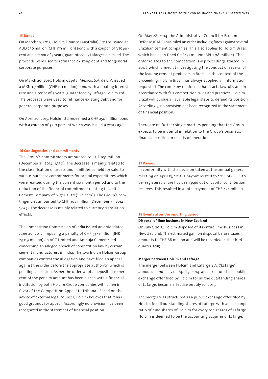#### **15 Bonds**

On March 19, 2015, Holcim Finance (Australia) Pty Ltd issued an AUD 250 million (CHF 179 million) bond with a coupon of 3.75 percent and a tenor of 5 years, guaranteed by LafargeHolcim Ltd. The proceeds were used to refinance existing debt and for general corporate purposes.

On March 20, 2015, Holcim Capital México, S.A. de C.V. issued a MXN 1.7 billion (CHF 101 million) bond with a floating interest rate and a tenor of 5 years, guaranteed by LafargeHolcim Ltd. The proceeds were used to refinance existing debt and for general corporate purposes.

On April 20, 2015, Holcim Ltd redeemed a CHF 250 million bond with a coupon of 3.00 percent which was issued 9 years ago.

#### **16 Contingencies and commitments**

The Group's commitments amounted to CHF 951 million (December 31, 2014: 1,350). The decrease is mainly related to the classification of assets and liabilities as held for sale, to various purchase commitments for capital expenditures which were realized during the current six month period and to the reduction of the financial commitment relating to United Cement Company of Nigeria Ltd ("Unicem"). The Group's contingencies amounted to CHF 907 million (December 31, 2014: 1,037). The decrease is mainly related to currency translation effects.

The Competition Commission of India issued an order dated June 20, 2012, imposing a penalty of CHF 337 million (INR 23,119 million) on ACC Limited and Ambuja Cements Ltd. concerning an alleged breach of competition law by certain cement manufacturers in India. The two Indian Holcim Group companies contest the allegation and have filed an appeal against the order before the appropriate authority, which is pending a decision. As per the order, a total deposit of 10 percent of the penalty amount has been placed with a financial institution by both Holcim Group companies with a lien in favor of the Competition Appellate Tribunal. Based on the advice of external legal counsel, Holcim believes that it has good grounds for appeal. Accordingly no provision has been recognized in the statement of financial position.

On May 28, 2014, the Administrative Council for Economic Defense (CADE) has ruled an order including fines against several Brazilian cement companies. This also applies to Holcim Brazil, which has been fined CHF 151 million (BRL 508 million). The order relates to the competition law proceedings started in 2006 which aimed at investigating the conduct of several of the leading cement producers in Brazil. In the context of the proceeding, Holcim Brazil has always supplied all information requested. The company reinforces that it acts lawfully and in accordance with fair competition rules and practices. Holcim Brazil will pursue all available legal steps to defend its position. Accordingly, no provision has been recognized in the statement of financial position.

There are no further single matters pending that the Group expects to be material in relation to the Group's business, financial position or results of operations.

#### **17 Payout**

In conformity with the decision taken at the annual general meeting on April 13, 2015, a payout related to 2014 of CHF 1.30 per registered share has been paid out of capital contribution reserves. This resulted in a total payment of CHF 424 million.

#### **18 Events after the reporting period**

#### **Disposal of lime business in New Zealand**

On July 1, 2015, Holcim disposed of its entire lime business in New Zealand. The estimated gain on disposal before taxes amounts to CHF 68 million and will be recorded in the third quarter 2015.

#### **Merger between Holcim and Lafarge**

The merger between Holcim and Lafarge S.A. ('Lafarge') announced publicly on April 7, 2014, and structured as a public exchange offer filed by Holcim for all the outstanding shares of Lafarge, became effective on July 10, 2015.

The merger was structured as a public exchange offer filed by Holcim for all outstanding shares of Lafarge with an exchange ratio of nine shares of Holcim for every ten shares of Lafarge. Holcim is deemed to be the accounting acquirer of Lafarge.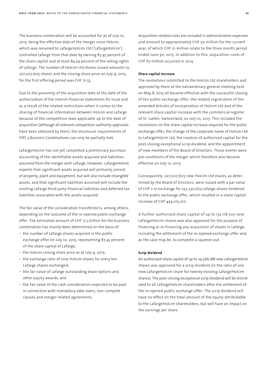The business combination will be accounted for as of July 10, 2015, being the effective date of the merger since Holcim, which was renamed to LafargeHolcim Ltd ('LafargeHolcim'), controlled Lafarge from that date by owning 87.45 percent of the share capital and at least 84.59 percent of the voting rights of Lafarge. The number of Holcim Ltd shares issued amounts to 227,007,605 shares and the closing share price on July 9, 2015, for the first offering period was CHF 71.55.

Due to the proximity of the acquisition date to the date of the authorization of the interim financial statements for issue and as a result of the related restrictions when it comes to the sharing of financial information between Holcim and Lafarge because of the competition laws applicable up to the date of acquisition (although all relevant competition authority approvals have been obtained by then), the disclosure requirements of IFRS 3 *Business Combinations* can only be partially met.

LafargeHolcim has not yet completed a preliminary purchase accounting of the identifiable assets acquired and liabilities assumed from the merger with Lafarge. However, LafargeHolcim expects that significant assets acquired will primarily consist of property, plant and equipment, but will also include intangible assets, and that significant liabilities assumed will include the existing Lafarge third party financial liabilities and deferred tax liabilities associated with the assets acquired.

The fair value of the consideration transferred is, among others, depending on the outcome of the re-opened public exchange offer. The estimated amount of CHF 17.3 billion for the business combination has mainly been determined on the basis of:

- the number of Lafarge shares acquired in the public exchange offer on July 10, 2015, representing 87.45 percent of the share capital of Lafarge;
- the Holcim closing share price as at July 9, 2015;
- the exchange ratio of nine Holcim shares for every ten Lafarge shares exchanged;
- the fair value of Lafarge outstanding share options and other equity awards; and
- the fair value of the cash consideration expected to be paid in connection with mandatory take-overs, non-compete clauses and merger-related agreements.

Acquisition-related costs are included in administration expenses and amount to approximately CHF 50 million for the current year, of which CHF 21 million relate to the three month period ended June 30, 2015. In addition to this, acquisition costs of CHF 67 million occurred in 2014.

#### **Share capital increase**

The resolutions submitted to the Holcim Ltd shareholders and approved by them at the extraordinary general meeting held on May 8, 2015 all became effective with the successful closing of the public exchange offer, the related registration of the amended Articles of Incorporation of Holcim Ltd and of the relevant share capital increase with the commercial register of St. Gallen, Switzerland, on July 10, 2015. This included the resolutions on the share capital increase required for the public exchange offer, the change of the corporate name of Holcim Ltd to LafargeHolcim Ltd, the creation of authorized capital for the post-closing exceptional scrip dividend, and the appointment of new members of the Board of Directors. Those events were pre-conditions of the merger which therefore also became effective on July 10, 2015.

Consequently, 227,007,605 new Holcim Ltd shares, as determined by the Board of Directors, were issued with a par value of CHF 2 in exchange for 252,230,673 Lafarge shares tendered to the public exchange offer, which resulted in a share capital increase of CHF 454,015,210.

A further authorized share capital of up to 132,118,700 new LafargeHolcim shares was also approved for the purpose of financing or re-financing any acquisition of shares in Lafarge, including the settlement of the re-opened exchange offer and, as the case may be, to complete a squeeze-out.

#### **Scrip dividend**

An authorized share capital of up to 29,566,188 new LafargeHolcim shares was approved for a scrip dividend (in the ratio of one new LafargeHolcim share for twenty existing LafargeHolcim shares). The post-closing exceptional scrip dividend will be distributed to all LafargeHolcim shareholders after the settlement of the re-opened public exchange offer. The scrip dividend will have no effect on the total amount of the equity attributable to the LafargeHolcim shareholders, but will have an impact on the earnings per share.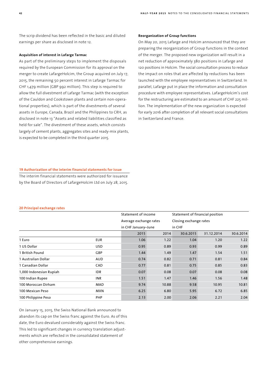The scrip dividend has been reflected in the basic and diluted earnings per share as disclosed in note 12.

#### **Acquisition of interest in Lafarge Tarmac**

As part of the preliminary steps to implement the disposals required by the European Commission for its approval on the merger to create LafargeHolcim, the Group acquired on July 17, 2015, the remaining 50 percent interest in Lafarge Tarmac for CHF 1,479 million (GBP 992 million). This step is required to allow the full divestment of Lafarge Tarmac (with the exception of the Cauldon and Cookstown plants and certain non-operational properties), which is part of the divestments of several assets in Europe, Canada, Brazil and the Philippines to CRH, as disclosed in note 13 "Assets and related liabilities classified as held for sale". The divestment of these assets, which consists largely of cement plants, aggregates sites and ready-mix plants, is expected to be completed in the third quarter 2015.

#### **Reorganization of Group functions**

On May 20, 2015 Lafarge and Holcim announced that they are preparing the reorganization of Group functions in the context of the merger. The proposed new organization will result in a net reduction of approximately 380 positions in Lafarge and 120 positions in Holcim. The social consultation process to reduce the impact on roles that are affected by reductions has been launched with the employee representatives in Switzerland. In parallel, Lafarge put in place the information and consultation procedure with employee representatives. LafargeHolcim's cost for the restructuring are estimated to an amount of CHF 225 million. The implementation of the new organization is expected for early 2016 after completion of all relevant social consultations in Switzerland and France.

## **19 Authorization of the interim financial statements for issue**

The interim financial statements were authorized for issuance by the Board of Directors of LafargeHolcim Ltd on July 28, 2015.

#### **20 Principal exchange rates**

|                         |            | Statement of income<br>Average exchange rates<br>in CHF January-June |       | Statement of financial position |            |           |
|-------------------------|------------|----------------------------------------------------------------------|-------|---------------------------------|------------|-----------|
|                         |            |                                                                      |       | Closing exchange rates          |            |           |
|                         |            |                                                                      |       | in CHF                          |            |           |
|                         |            | 2015                                                                 | 2014  | 30.6.2015                       | 31.12.2014 | 30.6.2014 |
| 1 Euro                  | <b>EUR</b> | 1.06                                                                 | 1.22  | 1.04                            | 1.20       | 1.22      |
| 1 US Dollar             | <b>USD</b> | 0.95                                                                 | 0.89  | 0.93                            | 0.99       | 0.89      |
| 1 British Pound         | GBP        | 1.44                                                                 | 1.49  | 1.47                            | 1.54       | 1.51      |
| 1 Australian Dollar     | <b>AUD</b> | 0.74                                                                 | 0.82  | 0.71                            | 0.81       | 0.84      |
| 1 Canadian Dollar       | CAD        | 0.77                                                                 | 0.81  | 0.75                            | 0.85       | 0.83      |
| 1,000 Indonesian Rupiah | <b>IDR</b> | 0.07                                                                 | 0.08  | 0.07                            | 0.08       | 0.08      |
| 100 Indian Rupee        | <b>INR</b> | 1.51                                                                 | 1.47  | 1.46                            | 1.56       | 1.48      |
| 100 Moroccan Dirham     | MAD        | 9.74                                                                 | 10.88 | 9.58                            | 10.95      | 10.81     |
| 100 Mexican Peso        | <b>MXN</b> | 6.25                                                                 | 6.80  | 5.95                            | 6.72       | 6.85      |
| 100 Philippine Peso     | <b>PHP</b> | 2.13                                                                 | 2.00  | 2.06                            | 2.21       | 2.04      |

On January 15, 2015, the Swiss National Bank announced to abandon its cap on the Swiss franc against the Euro. As of this date, the Euro devalued considerably against the Swiss franc. This led to significant changes in currency translation adjustments which are reflected in the consolidated statement of other comprehensive earnings.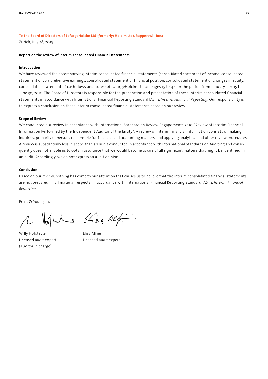#### **To the Board of Directors of LafargeHolcim Ltd (formerly: Holcim Ltd), Rapperswil-Jona**

Zurich, July 28, 2015

#### **Report on the review of interim consolidated financial statements**

#### **Introduction**

We have reviewed the accompanying interim consolidated financial statements (consolidated statement of income, consolidated statement of comprehensive earnings, consolidated statement of financial position, consolidated statement of changes in equity, consolidated statement of cash flows and notes) of LafargeHolcim Ltd on pages 15 to 42 for the period from January 1, 2015 to June 30, 2015. The Board of Directors is responsible for the preparation and presentation of these interim consolidated financial statements in accordance with International Financial Reporting Standard IAS 34 *Interim Financial Reporting*. Our responsibility is to express a conclusion on these interim consolidated financial statements based on our review.

#### **Scope of Review**

We conducted our review in accordance with International Standard on Review Engagements 2410 "Review of Interim Financial Information Performed by the Independent Auditor of the Entity". A review of interim financial information consists of making inquiries, primarily of persons responsible for financial and accounting matters, and applying analytical and other review procedures. A review is substantially less in scope than an audit conducted in accordance with International Standards on Auditing and consequently does not enable us to obtain assurance that we would become aware of all significant matters that might be identified in an audit. Accordingly, we do not express an audit opinion.

#### **Conclusion**

Based on our review, nothing has come to our attention that causes us to believe that the interim consolidated financial statements are not prepared, in all material respects, in accordance with International Financial Reporting Standard IAS 34 *Interim Financial Reporting*.

Ernst & Young Ltd

(Auditor in charge)

 $MML$   $2433$  Alfin

Willy Hofstetter Elisa Alfieri Licensed audit expert Licensed audit expert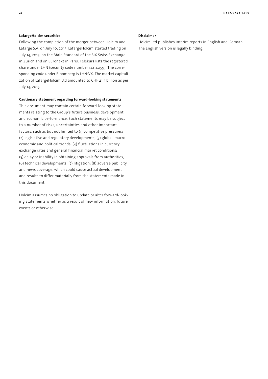#### **LafargeHolcim securities**

Following the completion of the merger between Holcim and Lafarge S.A. on July 10, 2015, LafargeHolcim started trading on July 14, 2015, on the Main Standard of the SIX Swiss Exchange in Zurich and on Euronext in Paris. Telekurs lists the registered share under LHN (security code number 12214059). The corresponding code under Bloomberg is LHN:VX. The market capitalization of LafargeHolcim Ltd amounted to CHF 41.5 billion as per July 14, 2015.

#### **Cautionary statement regarding forward-looking statements**

This document may contain certain forward-looking statements relating to the Group's future business, development and economic performance. Such statements may be subject to a number of risks, uncertainties and other important factors, such as but not limited to (1) competitive pressures; (2) legislative and regulatory developments; (3) global, macroeconomic and political trends; (4) fluctuations in currency exchange rates and general financial market conditions; (5) delay or inability in obtaining approvals from authorities; (6) technical developments; (7) litigation; (8) adverse publicity and news coverage, which could cause actual development and results to differ materially from the statements made in this document.

Holcim assumes no obligation to update or alter forward-looking statements whether as a result of new information, future events or otherwise.

#### **Disclaimer**

Holcim Ltd publishes interim reports in English and German. The English version is legally binding.